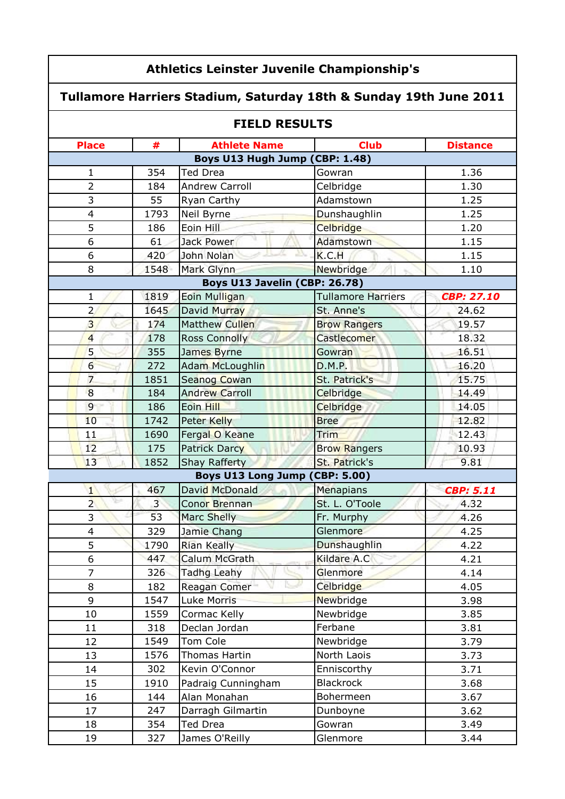|                         | <b>Athletics Leinster Juvenile Championship's</b>                 |                                |                           |                   |  |
|-------------------------|-------------------------------------------------------------------|--------------------------------|---------------------------|-------------------|--|
|                         | Tullamore Harriers Stadium, Saturday 18th & Sunday 19th June 2011 |                                |                           |                   |  |
|                         |                                                                   | <b>FIELD RESULTS</b>           |                           |                   |  |
| <b>Place</b>            | #                                                                 | <b>Athlete Name</b>            | <b>Club</b>               | <b>Distance</b>   |  |
|                         |                                                                   | Boys U13 Hugh Jump (CBP: 1.48) |                           |                   |  |
| 1                       | 354                                                               | <b>Ted Drea</b>                | Gowran                    | 1.36              |  |
| $\overline{2}$          | 184                                                               | Andrew Carroll                 | Celbridge                 | 1.30              |  |
| 3                       | 55                                                                | Ryan Carthy                    | Adamstown                 | 1.25              |  |
| $\overline{4}$          | 1793                                                              | Neil Byrne                     | Dunshaughlin              | 1.25              |  |
| 5                       | 186                                                               | Eoin Hill                      | Celbridge                 | 1.20              |  |
| 6                       | 61                                                                | Jack Power                     | Adamstown                 | 1.15              |  |
| 6                       | 420                                                               | John Nolan                     | K.C.H                     | 1.15              |  |
| 8                       | 1548                                                              | Mark Glynn                     | Newbridge                 | 1.10              |  |
|                         |                                                                   | Boys U13 Javelin (CBP: 26.78)  |                           |                   |  |
| $\mathbf{1}$            | 1819                                                              | Eoin Mulligan                  | <b>Tullamore Harriers</b> | <b>CBP: 27.10</b> |  |
| $\overline{2}$          | 1645                                                              | David Murray                   | St. Anne's                | 24.62             |  |
| $\overline{3}$          | 174                                                               | <b>Matthew Cullen</b>          | <b>Brow Rangers</b>       | 19.57             |  |
| $\overline{4}$          | 178                                                               | <b>Ross Connolly</b>           | Castlecomer               | 18.32             |  |
| 5                       | 355                                                               | James Byrne                    | Gowran                    | 16.51             |  |
| $6 \overline{}$         | 272                                                               | <b>Adam McLoughlin</b>         | D.M.P.                    | 16.20             |  |
| $\overline{7}$          | 1851                                                              | Seanog Cowan                   | St. Patrick's             | 15.75             |  |
| 8                       | 184                                                               | <b>Andrew Carroll</b>          | Celbridge                 | 14.49             |  |
| $\overline{9}$          | 186                                                               | Eoin Hill                      | Celbridge                 | 14.05             |  |
| 10                      | 1742                                                              | Peter Kelly                    | <b>Bree</b>               | 12.82             |  |
| 11                      | 1690                                                              | Fergal O Keane                 | Trim                      | 12.43             |  |
| 12                      | 175                                                               | <b>Patrick Darcy</b>           | <b>Brow Rangers</b>       | 10.93             |  |
| 13                      | 1852                                                              | <b>Shay Rafferty</b>           | St. Patrick's             | 9.81              |  |
|                         |                                                                   | Boys U13 Long Jump (CBP: 5.00) |                           |                   |  |
| $\mathbf{1}$            | 467                                                               | David McDonald                 | <b>Menapians</b>          | <b>CBP: 5.11</b>  |  |
| ⊵<br>$\overline{2}$     | $\overline{3}$                                                    | Conor Brennan                  | St. L. O'Toole            | 4.32              |  |
| 3                       | 53                                                                | Marc Shelly                    | Fr. Murphy                | 4.26              |  |
| $\overline{\mathbf{4}}$ | 329                                                               | Jamie Chang                    | Glenmore                  | 4.25              |  |
| 5                       | 1790                                                              | Rian Keally                    | Dunshaughlin              | 4.22              |  |
| 6                       | 447                                                               | Calum McGrath                  | Kildare A.C               | 4.21              |  |
| $\overline{7}$          | 326                                                               | Tadhg Leahy                    | Glenmore                  | 4.14              |  |
| 8                       | 182                                                               | Reagan Comer                   | Celbridge                 | 4.05              |  |
| 9                       | 1547                                                              | Luke Morris                    | Newbridge                 | 3.98              |  |
| 10                      | 1559                                                              | Cormac Kelly                   | Newbridge                 | 3.85              |  |
| 11                      | 318                                                               | Declan Jordan                  | Ferbane                   | 3.81              |  |
| 12                      | 1549                                                              | Tom Cole                       | Newbridge                 | 3.79              |  |
| 13                      | 1576                                                              | Thomas Hartin                  | North Laois               | 3.73              |  |
| 14                      | 302                                                               | Kevin O'Connor                 | Enniscorthy               | 3.71              |  |
| 15                      | 1910                                                              | Padraig Cunningham             | <b>Blackrock</b>          | 3.68              |  |
| 16                      | 144                                                               | Alan Monahan                   | Bohermeen                 | 3.67              |  |
| 17                      | 247                                                               | Darragh Gilmartin              | Dunboyne                  | 3.62              |  |
| 18                      | 354                                                               | Ted Drea                       | Gowran                    | 3.49              |  |
| 19                      | 327                                                               | James O'Reilly                 | Glenmore                  | 3.44              |  |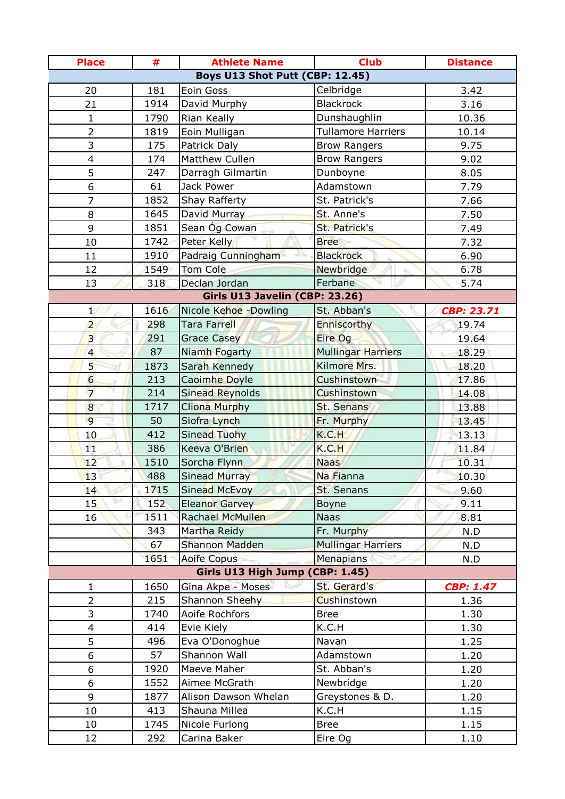| <b>Place</b>                    | #    | <b>Athlete Name</b>             | <b>Club</b>               | <b>Distance</b>   |  |
|---------------------------------|------|---------------------------------|---------------------------|-------------------|--|
| Boys U13 Shot Putt (CBP: 12.45) |      |                                 |                           |                   |  |
| 20                              | 181  | Eoin Goss                       | Celbridge                 | 3.42              |  |
| 21                              | 1914 | David Murphy                    | <b>Blackrock</b>          | 3.16              |  |
| $\mathbf{1}$                    | 1790 | Rian Keally                     | Dunshaughlin              | 10.36             |  |
| $\overline{2}$                  | 1819 | Eoin Mulligan                   | <b>Tullamore Harriers</b> | 10.14             |  |
| 3                               | 175  | Patrick Daly                    | <b>Brow Rangers</b>       | 9.75              |  |
| 4                               | 174  | Matthew Cullen                  | <b>Brow Rangers</b>       | 9.02              |  |
| 5                               | 247  | Darragh Gilmartin               | Dunboyne                  | 8.05              |  |
| 6                               | 61   | Jack Power                      | Adamstown                 | 7.79              |  |
| $\overline{7}$                  | 1852 | Shay Rafferty                   | St. Patrick's             | 7.66              |  |
| 8                               | 1645 | David Murray                    | St. Anne's                | 7.50              |  |
| 9                               | 1851 | Sean Óg Cowan                   | St. Patrick's             | 7.49              |  |
| 10                              | 1742 | Peter Kelly                     | <b>Bree</b>               | 7.32              |  |
| 11                              | 1910 | Padraig Cunningham              | <b>Blackrock</b>          | 6.90              |  |
| 12                              | 1549 | <b>Tom Cole</b>                 | Newbridge                 | 6.78              |  |
| 13                              | 318  | Declan Jordan                   | Ferbane                   | 5.74              |  |
|                                 |      | Girls U13 Javelin (CBP: 23.26)  |                           |                   |  |
| $\mathbf{1}$                    | 1616 | Nicole Kehoe - Dowling          | St. Abban's               | <b>CBP: 23.71</b> |  |
| $\overline{2}$                  | 298  | Tara Farrell                    | Enniscorthy               | 19.74             |  |
| $\overline{3}$                  | 291  | <b>Grace Casey</b>              | Eire Og                   | 19.64             |  |
| $\overline{4}$                  | 87   | Niamh Fogarty                   | <b>Mullingar Harriers</b> | 18.29             |  |
| $\overline{5}$                  | 1873 | Sarah Kennedy                   | Kilmore Mrs.              | 18.20             |  |
| $6 \overline{}$                 | 213  | Caoimhe Doyle                   | Cushinstown               | 17.86             |  |
| $\overline{7}$                  | 214  | Sinead Reynolds                 | Cushinstown               | 14.08             |  |
| 8                               | 1717 | <b>Cliona Murphy</b>            | St. Senans                | 13.88             |  |
| 9                               | 50   | Siofra Lynch                    | Fr. Murphy                | 13.45             |  |
| 10                              | 412  | Sinead Tuohy                    | K.C.H                     | 13.13             |  |
| 11                              | 386  | Keeva O'Brien                   | K.C.H                     | 11.84             |  |
| 12                              | 1510 | Sorcha Flynn                    | <b>Naas</b>               | 10.31             |  |
| 13                              | 488  | <b>Sinead Murray</b>            | Na Fianna                 | 10.30             |  |
| 14                              | 1715 | Sinead McEvoy                   | St. Senans                | 9.60              |  |
| 15                              | 152  | <b>Eleanor Garvey</b>           | Boyne                     | 9.11              |  |
| 16                              | 1511 | <b>Rachael McMullen</b>         | <b>Naas</b>               | 8.81              |  |
|                                 | 343  | Martha Reidy                    | Fr. Murphy                | N.D               |  |
|                                 | 67   | <b>Shannon Madden</b>           | <b>Mullingar Harriers</b> | N.D               |  |
|                                 | 1651 | Aoife Copus                     | <b>Menapians</b>          | N.D               |  |
|                                 |      | Girls U13 High Jump (CBP: 1.45) |                           |                   |  |
| $\mathbf{1}$                    | 1650 | Gina Akpe - Moses               | St. Gerard's              | <b>CBP: 1.47</b>  |  |
| $\overline{2}$                  | 215  | Shannon Sheehy                  | Cushinstown               | 1.36              |  |
| 3                               | 1740 | Aoife Rochfors                  | <b>Bree</b>               | 1.30              |  |
| $\overline{\mathbf{4}}$         | 414  | Evie Kiely                      | K.C.H                     | 1.30              |  |
| 5                               | 496  | Eva O'Donoghue                  | Navan                     | 1.25              |  |
| 6                               | 57   | Shannon Wall                    | Adamstown                 | 1.20              |  |
| 6                               | 1920 | Maeve Maher                     | St. Abban's               | 1.20              |  |
| 6                               | 1552 | Aimee McGrath                   | Newbridge                 | 1.20              |  |
| 9                               | 1877 | Alison Dawson Whelan            | Greystones & D.           | 1.20              |  |
| 10                              | 413  | Shauna Millea                   | K.C.H                     | 1.15              |  |
| 10                              | 1745 | Nicole Furlong                  | <b>Bree</b>               | 1.15              |  |
| 12                              | 292  | Carina Baker                    | Eire Og                   | 1.10              |  |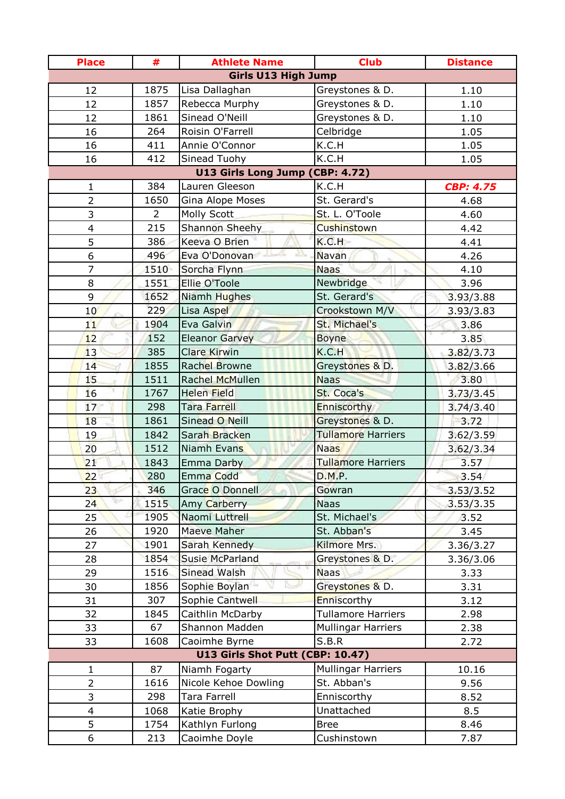| <b>Place</b>               | #              | <b>Athlete Name</b>              | <b>Club</b>               | <b>Distance</b>  |  |
|----------------------------|----------------|----------------------------------|---------------------------|------------------|--|
| <b>Girls U13 High Jump</b> |                |                                  |                           |                  |  |
| 12                         | 1875           | Lisa Dallaghan                   | Greystones & D.           | 1.10             |  |
| 12                         | 1857           | Rebecca Murphy                   | Greystones & D.           | 1.10             |  |
| 12                         | 1861           | Sinead O'Neill                   | Greystones & D.           | 1.10             |  |
| 16                         | 264            | Roisin O'Farrell                 | Celbridge                 | 1.05             |  |
| 16                         | 411            | Annie O'Connor                   | K.C.H                     | 1.05             |  |
| 16                         | 412            | Sinead Tuohy                     | K.C.H                     | 1.05             |  |
|                            |                | U13 Girls Long Jump (CBP: 4.72)  |                           |                  |  |
| 1                          | 384            | Lauren Gleeson                   | K.C.H                     | <b>CBP: 4.75</b> |  |
| $\overline{2}$             | 1650           | Gina Alope Moses                 | St. Gerard's              | 4.68             |  |
| 3                          | $\overline{2}$ | Molly Scott                      | St. L. O'Toole            | 4.60             |  |
| $\overline{\mathbf{4}}$    | 215            | Shannon Sheehy                   | Cushinstown               | 4.42             |  |
| 5                          | 386            | Keeva O Brien                    | K.C.H                     | 4.41             |  |
| 6                          | 496            | Eva O'Donovan                    | Navan                     | 4.26             |  |
| $\overline{7}$             | 1510           | Sorcha Flynn                     | <b>Naas</b>               | 4.10             |  |
| 8                          | 1551           | Ellie O'Toole                    | <b>Newbridge</b>          | 3.96             |  |
| 9                          | 1652           | Niamh Hughes                     | St. Gerard's              | 3.93/3.88        |  |
| 10                         | 229            | Lisa Aspel                       | Crookstown M/V            | 3.93/3.83        |  |
| 11                         | 1904           | Eva Galvin                       | St. Michael's             | 3.86             |  |
| 12                         | 152            | <b>Eleanor Garvey</b>            | <b>Boyne</b>              | 3.85             |  |
| 13                         | 385            | <b>Clare Kirwin</b>              | K.C.H                     | 3.82/3.73        |  |
| 14                         | 1855           | Rachel Browne                    | Greystones & D.           | 3.82/3.66        |  |
| 15                         | 1511           | Rachel McMullen                  | <b>Naas</b>               | 3.80             |  |
| 16                         | 1767           | <b>Helen Field</b>               | St. Coca's                | 3.73/3.45        |  |
| 17                         | 298            | Tara Farrell                     | Enniscorthy               | 3.74/3.40        |  |
| 18                         | 1861           | Sinead O Neill                   | Greystones & D.           | 3.72             |  |
| 19                         | 1842           | Sarah Bracken                    | <b>Tullamore Harriers</b> | 3.62/3.59        |  |
| 20                         | 1512           | Niamh Evans                      | <b>Naas</b>               | 3.62/3.34        |  |
| 21                         | 1843           | Emma Darby                       | <b>Tullamore Harriers</b> | 3.57             |  |
| 22                         | 280            | Emma Codd                        | D.M.P.                    | 3.54             |  |
| 23                         | 346            | Grace O Donnell                  | Gowran                    | 3.53/3.52        |  |
| 24                         | 1515           | Amy Carberry                     | <b>Naas</b>               | 3.53/3.35        |  |
| 25                         | 1905           | Naomi Luttrell                   | St. Michael's             | 3.52             |  |
| 26                         | 1920           | Maeve Maher                      | St. Abban's               | 3.45             |  |
| 27                         | 1901           | Sarah Kennedy                    | Kilmore Mrs.              | 3.36/3.27        |  |
| 28                         | 1854           | <b>Susie McParland</b>           | Greystones & D.           | 3.36/3.06        |  |
| 29                         | 1516           | Sinead Walsh                     | <b>Naas</b>               | 3.33             |  |
| 30                         | 1856           | Sophie Boylan                    | Greystones & D.           | 3.31             |  |
| 31                         | 307            | Sophie Cantwell                  | Enniscorthy               | 3.12             |  |
| 32                         | 1845           | Caithlin McDarby                 | <b>Tullamore Harriers</b> | 2.98             |  |
| 33                         | 67             | Shannon Madden                   | <b>Mullingar Harriers</b> | 2.38             |  |
| 33                         | 1608           | Caoimhe Byrne                    | S.B.R                     | 2.72             |  |
|                            |                | U13 Girls Shot Putt (CBP: 10.47) |                           |                  |  |
| 1                          | 87             | Niamh Fogarty                    | <b>Mullingar Harriers</b> | 10.16            |  |
| $\overline{2}$             | 1616           | Nicole Kehoe Dowling             | St. Abban's               | 9.56             |  |
| 3                          | 298            | <b>Tara Farrell</b>              | Enniscorthy               | 8.52             |  |
| $\overline{\mathbf{4}}$    | 1068           | Katie Brophy                     | Unattached                | 8.5              |  |
| 5                          | 1754           | Kathlyn Furlong                  | <b>Bree</b>               | 8.46             |  |
| 6                          | 213            | Caoimhe Doyle                    | Cushinstown               | 7.87             |  |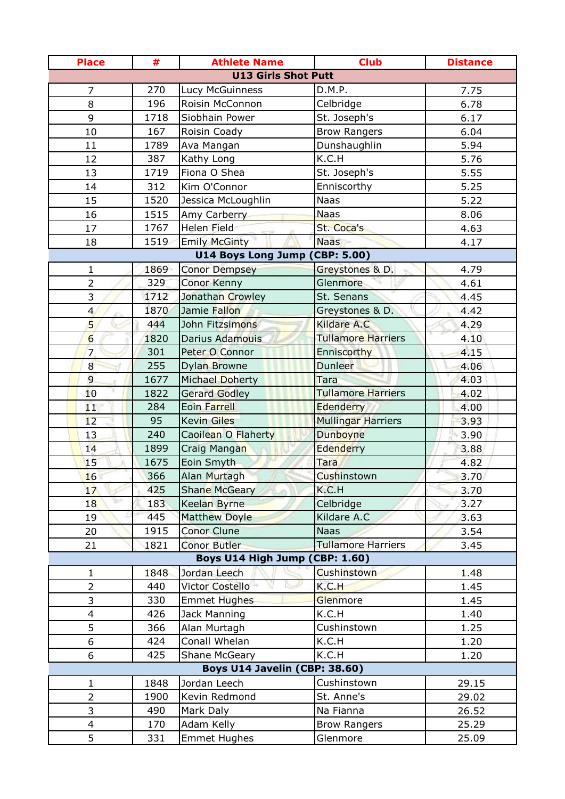| <b>Place</b>               | #          | <b>Athlete Name</b>            | <b>Club</b>               | <b>Distance</b> |  |
|----------------------------|------------|--------------------------------|---------------------------|-----------------|--|
| <b>U13 Girls Shot Putt</b> |            |                                |                           |                 |  |
| 7                          | 270        | Lucy McGuinness                | D.M.P.                    | 7.75            |  |
| 8                          | 196        | Roisin McConnon                | Celbridge                 | 6.78            |  |
| 9                          | 1718       | Siobhain Power                 | St. Joseph's              | 6.17            |  |
| 10                         | 167        | Roisin Coady                   | <b>Brow Rangers</b>       | 6.04            |  |
| 11                         | 1789       | Ava Mangan                     | Dunshaughlin              | 5.94            |  |
| 12                         | 387        | Kathy Long                     | K.C.H                     | 5.76            |  |
| 13                         | 1719       | Fiona O Shea                   | St. Joseph's              | 5.55            |  |
| 14                         | 312        | Kim O'Connor                   | Enniscorthy               | 5.25            |  |
| 15                         | 1520       | Jessica McLoughlin             | <b>Naas</b>               | 5.22            |  |
| 16                         | 1515       | Amy Carberry                   | <b>Naas</b>               | 8.06            |  |
| 17                         | 1767       | <b>Helen Field</b>             | St. Coca's                | 4.63            |  |
| 18                         | 1519       | <b>Emily McGinty</b>           | <b>Naas</b>               | 4.17            |  |
|                            |            | U14 Boys Long Jump (CBP: 5.00) |                           |                 |  |
| $\mathbf 1$                | 1869       | <b>Conor Dempsey</b>           | Greystones & D.           | 4.79            |  |
| $\overline{2}$             | 329        | Conor Kenny                    | <b>Glenmore</b>           | 4.61            |  |
| 3                          | 1712       | Jonathan Crowley               | St. Senans                | 4.45            |  |
| $\overline{4}$             | 1870       | Jamie Fallon                   | Greystones & D.           | 4.42            |  |
| 5                          | 444        | John Fitzsimons                | <b>Kildare A.C</b>        | 4.29            |  |
| $6 \overline{}$            | 1820       | Darius Adamouis                | <b>Tullamore Harriers</b> | 4.10            |  |
| 7                          | 301        | Peter O Connor                 | Enniscorthy               | 4.15            |  |
| $\overline{8}$             | 255        | Dylan Browne                   | <b>Dunleer</b>            | 4.06            |  |
| $\overline{9}$             | 1677       | Michael Doherty                | Tara                      | 4.03            |  |
| 10                         | 1822       | <b>Gerard Godley</b>           | <b>Tullamore Harriers</b> | 4.02            |  |
| 11                         | 284        | <b>Eoin Farrell</b>            | Edenderry                 | 4.00            |  |
| 12                         | 95         | <b>Kevin Giles</b>             | <b>Mullingar Harriers</b> | 3.93            |  |
| 13                         | 240        | Caoilean O Flaherty            | Dunboyne                  | 3.90            |  |
| 14                         | 1899       | Craig Mangan                   | Edenderry                 | 3.88            |  |
| 15                         | 1675       | Eoin Smyth                     | Tara                      | 4.82            |  |
| 16                         | 366        | Alan Murtagh                   | Cushinstown               | 3.70            |  |
| 17                         | 425        | <b>Shane McGeary</b>           | K.C.H                     | 3.70            |  |
| 18                         | 183        | Keelan Byrne                   | Celbridge                 | 3.27            |  |
| 19                         | 445        | <b>Matthew Doyle</b>           | Kildare A.C               | 3.63            |  |
| 20                         | 1915       | <b>Conor Clune</b>             | <b>Naas</b>               | 3.54            |  |
| 21                         | 1821       | <b>Conor Butler</b>            | <b>Tullamore Harriers</b> | 3.45            |  |
|                            |            | Boys U14 High Jump (CBP: 1.60) |                           |                 |  |
| $\mathbf{1}$               | 1848       | Jordan Leech                   | <b>Cushinstown</b>        | 1.48            |  |
| $\overline{2}$<br>3        | 440        | Victor Costello                | K.C.H                     | 1.45            |  |
|                            | 330        | <b>Emmet Hughes</b>            | Glenmore                  | 1.45            |  |
| $\overline{\mathbf{4}}$    | 426        | Jack Manning                   | K.C.H<br>Cushinstown      | 1.40            |  |
| 5                          | 366<br>424 | Alan Murtagh<br>Conall Whelan  |                           | 1.25            |  |
| 6<br>6                     | 425        | <b>Shane McGeary</b>           | K.C.H<br>K.C.H            | 1.20<br>1.20    |  |
|                            |            | Boys U14 Javelin (CBP: 38.60)  |                           |                 |  |
| 1                          | 1848       | Jordan Leech                   | Cushinstown               | 29.15           |  |
| $\overline{2}$             | 1900       | Kevin Redmond                  | St. Anne's                | 29.02           |  |
| 3                          | 490        | Mark Daly                      | Na Fianna                 | 26.52           |  |
| $\overline{4}$             | 170        | Adam Kelly                     | <b>Brow Rangers</b>       | 25.29           |  |
| 5                          | 331        | <b>Emmet Hughes</b>            | Glenmore                  | 25.09           |  |
|                            |            |                                |                           |                 |  |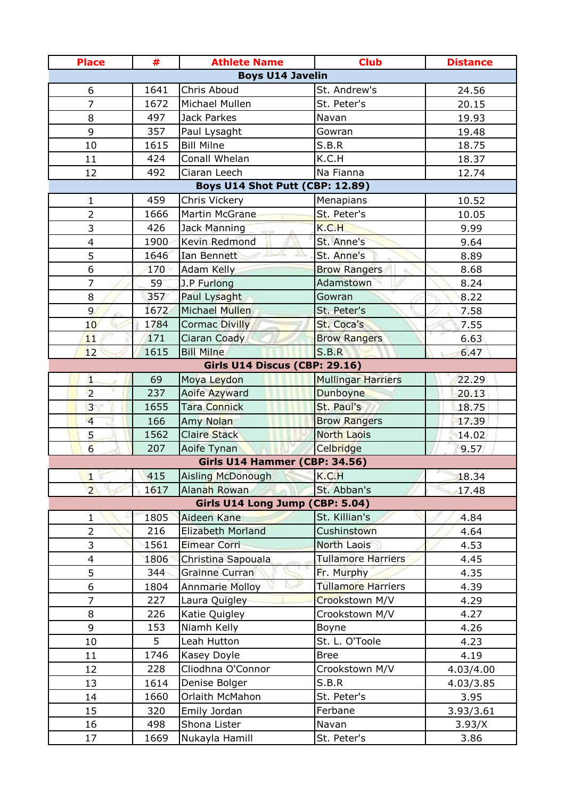| <b>Place</b>            | #           | <b>Athlete Name</b>                          | <b>Club</b>                     | <b>Distance</b> |
|-------------------------|-------------|----------------------------------------------|---------------------------------|-----------------|
|                         |             | <b>Boys U14 Javelin</b>                      |                                 |                 |
| 6                       | 1641        | Chris Aboud                                  | St. Andrew's                    | 24.56           |
| $\overline{7}$          | 1672        | Michael Mullen                               | St. Peter's                     | 20.15           |
| 8                       | 497         | Jack Parkes                                  | Navan                           | 19.93           |
| 9                       | 357         | Paul Lysaght                                 | Gowran                          | 19.48           |
| 10                      | 1615        | <b>Bill Milne</b>                            | S.B.R                           | 18.75           |
| 11                      | 424         | Conall Whelan                                | K.C.H                           | 18.37           |
| 12                      | 492         | Ciaran Leech                                 | Na Fianna                       | 12.74           |
|                         |             | Boys U14 Shot Putt (CBP: 12.89)              |                                 |                 |
| 1                       | 459         | Chris Vickery                                | Menapians                       | 10.52           |
| $\overline{2}$          | 1666        | Martin McGrane                               | St. Peter's                     | 10.05           |
| 3                       | 426         | Jack Manning                                 | K.C.H                           | 9.99            |
| $\overline{\mathbf{4}}$ | 1900        | Kevin Redmond                                | St. Anne's                      | 9.64            |
| 5                       | 1646        | Ian Bennett                                  | St. Anne's                      | 8.89            |
| 6                       | 170         | Adam Kelly                                   | <b>Brow Rangers</b>             | 8.68            |
| 7                       | 59          | J.P Furlong                                  | Adamstown                       | 8.24            |
| 8                       | 357         | Paul Lysaght                                 | Gowran                          | 8.22            |
| $\overline{9}$          | 1672        | Michael Mullen                               | St. Peter's                     | 7.58            |
| 10                      | 1784        | <b>Cormac Divilly</b>                        | St. Coca's                      | 7.55            |
| 11                      | 171         | Ciaran Coady                                 | <b>Brow Rangers</b>             | 6.63            |
| 12                      | 1615        | <b>Bill Milne</b>                            | S.B.R                           | 6.47            |
|                         |             | Girls U14 Discus (CBP: 29.16)                |                                 |                 |
| $\mathbf{1}$            | 69          | Moya Leydon                                  | <b>Mullingar Harriers</b>       | 22.29           |
| $\overline{2}$          | 237         | Aoife Azyward                                | Dunboyne                        | 20.13           |
| $\overline{3}$          | 1655        | Tara Connick                                 | St. Paul's                      | 18.75           |
| $\overline{4}$          | 166         | Amy Nolan                                    | <b>Brow Rangers</b>             | 17.39           |
| 5<br>$6\overline{6}$    | 1562<br>207 | <b>Claire Stack</b>                          | <b>North Laois</b><br>Celbridge | 14.02           |
|                         |             | Aoife Tynan<br>Girls U14 Hammer (CBP: 34.56) |                                 | 9.57            |
| $\mathbf{1}$            | 415         | Aisling McDonough                            | K.C.H                           | 18.34           |
| $\overline{2}$          | 1617        | Alanah Rowan                                 | St. Abban's                     | 17.48           |
|                         |             | Girls U14 Long Jump (CBP: 5.04)              |                                 |                 |
| $\mathbf{1}$            | 1805        | Aideen Kane                                  | St. Killian's                   | 4.84            |
| $\overline{2}$          | 216         | Elizabeth Morland                            | Cushinstown                     | 4.64            |
| 3                       | 1561        | <b>Eimear Corri</b>                          | <b>North Laois</b>              | 4.53            |
| $\overline{\mathbf{4}}$ | 1806        | Christina Sapouala                           | <b>Tullamore Harriers</b>       | 4.45            |
| 5                       | 344         | Grainne Curran                               | Fr. Murphy                      | 4.35            |
| 6                       | 1804        | <b>Annmarie Molloy</b>                       | Tullamore Harriers              | 4.39            |
| $\overline{7}$          | 227         | Laura Quigley                                | Crookstown M/V                  | 4.29            |
| 8                       | 226         | Katie Quigley                                | Crookstown M/V                  | 4.27            |
| 9                       | 153         | Niamh Kelly                                  | Boyne                           | 4.26            |
| 10                      | 5           | Leah Hutton                                  | St. L. O'Toole                  | 4.23            |
| 11                      | 1746        | Kasey Doyle                                  | <b>Bree</b>                     | 4.19            |
| 12                      | 228         | Cliodhna O'Connor                            | Crookstown M/V                  | 4.03/4.00       |
| 13                      | 1614        | Denise Bolger                                | S.B.R                           | 4.03/3.85       |
| 14                      | 1660        | Orlaith McMahon                              | St. Peter's                     | 3.95            |
| 15                      | 320         | Emily Jordan                                 | Ferbane                         | 3.93/3.61       |
| 16                      | 498         | Shona Lister                                 | Navan                           | 3.93/X          |
| 17                      | 1669        | Nukayla Hamill                               | St. Peter's                     | 3.86            |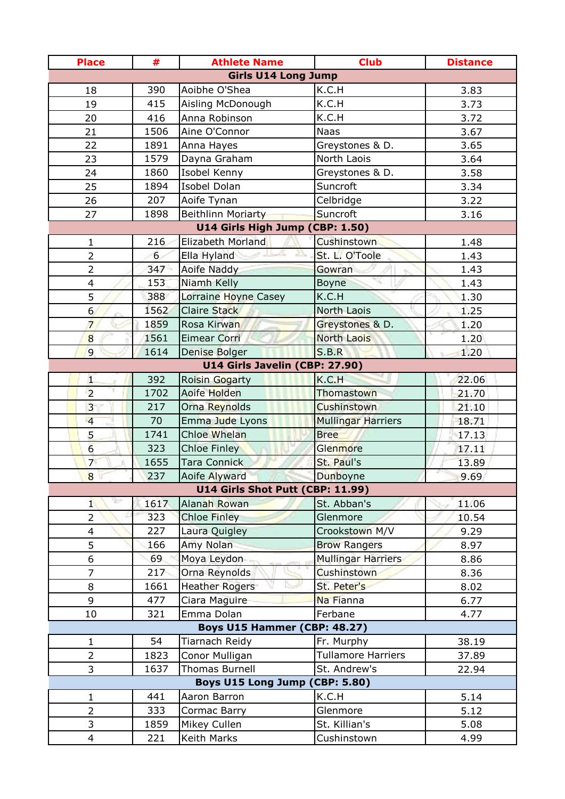| <b>Place</b>                 | #    | <b>Athlete Name</b>                              | <b>Club</b>               | <b>Distance</b> |
|------------------------------|------|--------------------------------------------------|---------------------------|-----------------|
|                              |      | <b>Girls U14 Long Jump</b>                       |                           |                 |
| 18                           | 390  | Aoibhe O'Shea                                    | K.C.H                     | 3.83            |
| 19                           | 415  | Aisling McDonough                                | K.C.H                     | 3.73            |
| 20                           | 416  | Anna Robinson                                    | K.C.H                     | 3.72            |
| 21                           | 1506 | Aine O'Connor                                    | <b>Naas</b>               | 3.67            |
| 22                           | 1891 | Anna Hayes                                       | Greystones & D.           | 3.65            |
| 23                           | 1579 | Dayna Graham                                     | North Laois               | 3.64            |
| 24                           | 1860 | Isobel Kenny                                     | Greystones & D.           | 3.58            |
| 25                           | 1894 | Isobel Dolan                                     | Suncroft                  | 3.34            |
| 26                           | 207  | Aoife Tynan                                      | Celbridge                 | 3.22            |
| 27                           | 1898 | Beithlinn Moriarty                               | Suncroft                  | 3.16            |
|                              |      | U14 Girls High Jump (CBP: 1.50)                  |                           |                 |
| $\mathbf{1}$                 | 216  | Elizabeth Morland                                | <b>Cushinstown</b>        | 1.48            |
| $\overline{2}$               | 6    | Ella Hyland                                      | St. L. O'Toole            | 1.43            |
| 2                            | 347  | Aoife Naddy                                      | Gowran                    | 1.43            |
| $\overline{\mathcal{L}}$     | 153  | Niamh Kelly                                      | <b>Boyne</b>              | 1.43            |
| 5                            | 388  | Lorraine Hoyne Casey                             | K.C.H                     | 1.30            |
| 6                            | 1562 | <b>Claire Stack</b>                              | North Laois               | 1.25            |
| $\overline{7}$               | 1859 | Rosa Kirwan                                      | Greystones & D.           | 1,20            |
| $\overline{8}$               | 1561 | <b>Eimear Corri</b>                              | <b>North Laois</b>        | 1.20            |
| 9                            | 1614 | Denise Bolger                                    | S.B.R                     | 1.20            |
|                              |      | U14 Girls Javelin (CBP: 27.90)                   |                           |                 |
| $\mathbf{1}$                 | 392  | Roisin Gogarty                                   | K.C.H                     | 22.06           |
| $\overline{2}$               | 1702 | Aoife Holden                                     | Thomastown                | 21.70           |
| 3                            | 217  | Orna Reynolds                                    | Cushinstown               | 21.10           |
| $\overline{4}$               | 70   | Emma Jude Lyons                                  | <b>Mullingar Harriers</b> | 18.71           |
| 5                            | 1741 | Chloe Whelan                                     | <b>Bree</b>               | 17.13           |
| 6                            | 323  | <b>Chloe Finley</b>                              | Glenmore                  | 17.11           |
| $\overline{7}$               | 1655 | <b>Tara Connick</b>                              | St. Paul's                | 13.89           |
| $\overline{8}$               | 237  | Aoife Alyward                                    | Dunboyne                  | 9.69            |
|                              | 1617 | U14 Girls Shot Putt (CBP: 11.99)<br>Alanah Rowan | St. Abban's               |                 |
| $\mathbf{1}$                 | 323  | <b>Chloe Finley</b>                              | Glenmore                  | 11.06           |
| 2<br>$\overline{\mathbf{4}}$ | 227  | Laura Quigley                                    | Crookstown M/V            | 10.54<br>9.29   |
| 5                            | 166  | Amy Nolan                                        | <b>Brow Rangers</b>       | 8.97            |
| 6                            | 69   | Moya Leydon                                      | Mullingar Harriers        | 8.86            |
| $\overline{7}$               | 217  | Orna Reynolds                                    | <b>Cushinstown</b>        | 8.36            |
| 8                            | 1661 | <b>Heather Rogers</b>                            | St. Peter's               | 8.02            |
| 9                            | 477  | Ciara Maguire                                    | Na Fianna                 | 6.77            |
| 10                           | 321  | Emma Dolan                                       | Ferbane                   | 4.77            |
|                              |      | Boys U15 Hammer (CBP: 48.27)                     |                           |                 |
| $\mathbf{1}$                 | 54   | Tiarnach Reidy                                   | Fr. Murphy                | 38.19           |
| $\overline{2}$               | 1823 | Conor Mulligan                                   | <b>Tullamore Harriers</b> | 37.89           |
| 3                            | 1637 | Thomas Burnell                                   | St. Andrew's              | 22.94           |
|                              |      | Boys U15 Long Jump (CBP: 5.80)                   |                           |                 |
| 1                            | 441  | Aaron Barron                                     | K.C.H                     | 5.14            |
| $\overline{2}$               | 333  | Cormac Barry                                     | Glenmore                  | 5.12            |
| 3                            | 1859 | Mikey Cullen                                     | St. Killian's             | 5.08            |
| $\overline{4}$               | 221  | Keith Marks                                      | Cushinstown               | 4.99            |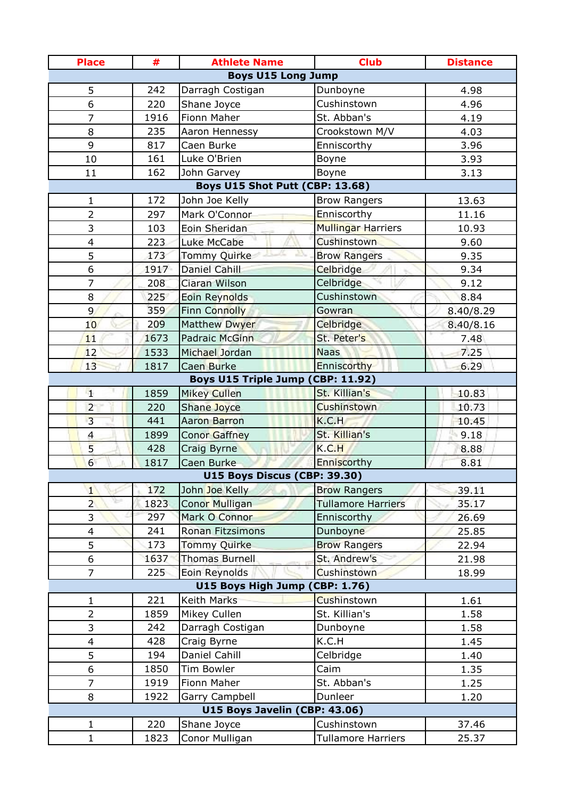| <b>Place</b>             | #    | <b>Athlete Name</b>               | <b>Club</b>               | <b>Distance</b> |
|--------------------------|------|-----------------------------------|---------------------------|-----------------|
|                          |      | <b>Boys U15 Long Jump</b>         |                           |                 |
| 5                        | 242  | Darragh Costigan                  | Dunboyne                  | 4.98            |
| 6                        | 220  | Shane Joyce                       | Cushinstown               | 4.96            |
| 7                        | 1916 | Fionn Maher                       | St. Abban's               | 4.19            |
| 8                        | 235  | Aaron Hennessy                    | Crookstown M/V            | 4.03            |
| 9                        | 817  | Caen Burke                        | Enniscorthy               | 3.96            |
| 10                       | 161  | Luke O'Brien                      | Boyne                     | 3.93            |
| 11                       | 162  | John Garvey                       | Boyne                     | 3.13            |
|                          |      | Boys U15 Shot Putt (CBP: 13.68)   |                           |                 |
| 1                        | 172  | John Joe Kelly                    | <b>Brow Rangers</b>       | 13.63           |
| $\overline{2}$           | 297  | Mark O'Connor                     | Enniscorthy               | 11.16           |
| 3                        | 103  | Eoin Sheridan                     | <b>Mullingar Harriers</b> | 10.93           |
| $\overline{\mathbf{4}}$  | 223  | Luke McCabe                       | <b>Cushinstown</b>        | 9.60            |
| 5                        | 173  | Tommy Quirke                      | <b>Brow Rangers</b>       | 9.35            |
| 6                        | 1917 | Daniel Cahill                     | Celbridge                 | 9.34            |
| $\overline{7}$           | 208  | Ciaran Wilson                     | Celbridge                 | 9.12            |
| 8                        | 225  | Eoin Reynolds                     | Cushinstown               | 8.84            |
| 9                        | 359  | <b>Finn Connolly</b>              | Gowran                    | 8.40/8.29       |
| 10                       | 209  | <b>Matthew Dwyer</b>              | Celbridge                 | 8.40/8.16       |
| 11                       | 1673 | <b>Padraic McGinn</b>             | St. Peter's               | 7.48            |
| 12                       | 1533 | Michael Jordan                    | <b>Naas</b>               | 7.25            |
| 13                       | 1817 | Caen Burke                        | Enniscorthy               | 6.29            |
|                          |      | Boys U15 Triple Jump (CBP: 11.92) |                           |                 |
| 4                        | 1859 | <b>Mikey Cullen</b>               | St. Killian's             | 10.83           |
| $\overline{2}$           | 220  | Shane Joyce                       | Cushinstown               | 10.73           |
| $\overline{3}$           | 441  | Aaron Barron                      | K.C.H                     | 10.45           |
| $\overline{4}$           | 1899 | Conor Gaffney                     | St. Killian's             | 9.18            |
| 5                        | 428  | Craig Byrne                       | K.C.H                     | 8.88            |
| 6                        | 1817 | Caen Burke                        | Enniscorthy               | 8.81            |
|                          |      | U15 Boys Discus (CBP: 39.30)      |                           |                 |
| $\mathbf{1}$             | 172  | John Joe Kelly                    | <b>Brow Rangers</b>       | 39.11           |
| $\overline{2}$           | 1823 | Conor Mulligan                    | <b>Tullamore Harriers</b> | 35.17           |
| 3                        | 297  | Mark O Connor                     | <b>Enniscorthy</b>        | 26.69           |
| $\overline{\mathbf{4}}$  | 241  | <b>Ronan Fitzsimons</b>           | Dunboyne                  | 25.85           |
| 5                        | 173  | Tommy Quirke                      | <b>Brow Rangers</b>       | 22.94           |
| 6                        | 1637 | <b>Thomas Burnell</b>             | St. Andrew's              | 21.98           |
| $\overline{7}$           | 225  | Eoin Reynolds                     | <b>Cushinstown</b>        | 18.99           |
|                          |      | <b>U15 Boys High Jump (</b>       | CBP: 1.76)                |                 |
| $\mathbf 1$              | 221  | Keith Marks                       | Cushinstown               | 1.61            |
| $\overline{2}$           | 1859 | Mikey Cullen                      | St. Killian's             | 1.58            |
| 3                        | 242  | Darragh Costigan                  | Dunboyne                  | 1.58            |
| $\overline{\mathcal{A}}$ | 428  | Craig Byrne                       | K.C.H                     | 1.45            |
| 5                        | 194  | Daniel Cahill                     | Celbridge                 | 1.40            |
| 6                        | 1850 | Tim Bowler                        | Caim                      | 1.35            |
| $\overline{7}$           | 1919 | Fionn Maher                       | St. Abban's               | 1.25            |
| 8                        | 1922 | Garry Campbell                    | Dunleer                   | 1.20            |
|                          |      | U15 Boys Javelin (CBP: 43.06)     |                           |                 |
| 1                        | 220  | Shane Joyce                       | Cushinstown               | 37.46           |
| $\mathbf{1}$             | 1823 | Conor Mulligan                    | <b>Tullamore Harriers</b> | 25.37           |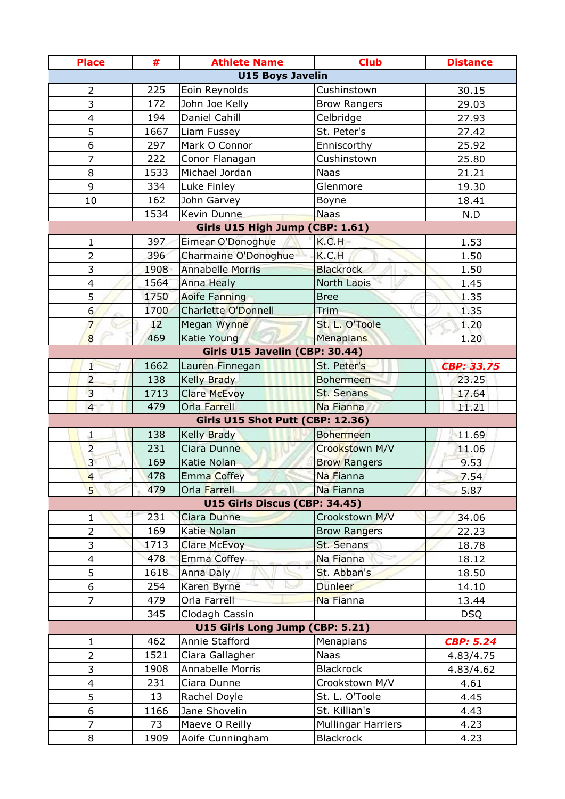| <b>U15 Boys Javelin</b><br>225<br>Cushinstown<br>$\overline{2}$<br>Eoin Reynolds<br>30.15<br>3<br>172<br>John Joe Kelly<br>29.03<br><b>Brow Rangers</b><br><b>Daniel Cahill</b><br>194<br>Celbridge<br>$\overline{\mathcal{A}}$<br>27.93<br>5<br>St. Peter's<br>27.42<br>1667<br>Liam Fussey<br>6<br>Mark O Connor<br>297<br>Enniscorthy<br>25.92<br>7<br>222<br>Conor Flanagan<br>Cushinstown<br>25.80<br>Michael Jordan<br>1533<br><b>Naas</b><br>8<br>21.21<br>9<br>334<br>Luke Finley<br>Glenmore<br>19.30<br>162<br>John Garvey<br>10<br>Boyne<br>18.41<br>Kevin Dunne<br><b>Naas</b><br>1534<br>N.D<br>Girls U15 High Jump (CBP: 1.61)<br>K.C.H<br>397<br>$\mathbf 1$<br>Eimear O'Donoghue<br>1.53<br>396<br>K.C.H<br>$\overline{2}$<br>Charmaine O'Donoghue<br>1.50<br><b>Blackrock</b><br><b>Annabelle Morris</b><br>3<br>1908<br>1.50<br>1564<br><b>Anna Healy</b><br><b>North Laois</b><br>$\overline{4}$<br>1.45<br>5<br>1750<br>1.35<br>Aoife Fanning<br><b>Bree</b><br>$6 \overline{}$<br><b>Charlette O'Donnell</b><br>1700<br>Trim<br>1.35<br>St. L. O'Toole<br>12<br>$\overline{7}$<br>Megan Wynne<br>1,20<br>8<br>469<br>Katie Young<br>Menapians<br>1.20<br>Girls U15 Javelin (CBP: 30.44)<br>1662<br>St. Peter's<br>Lauren Finnegan<br>1<br><b>CBP: 33.75</b><br>$\overline{2}$<br>138<br><b>Kelly Brady</b><br><b>Bohermeen</b><br>23.25<br>$\overline{3}$<br>St. Senans<br>1713<br>17.64<br><b>Clare McEvoy</b><br>$\overline{4}$<br>479<br>Orla Farrell<br>Na Fianna<br>11.21<br>Girls U15 Shot Putt (CBP: 12.36)<br>138<br>Kelly Brady<br><b>Bohermeen</b><br>11.69<br>$\mathbf{1}$<br>$\overline{2}$<br>Ciara Dunne<br>Crookstown M/V<br>231<br>11.06<br>3 <sup>1</sup><br>169<br>Katie Nolan<br><b>Brow Rangers</b><br>9.53<br>$\overline{4}$<br>478<br><b>Emma Coffey</b><br>Na Fianna<br>7.54<br>5 <sup>1</sup><br>479<br>Na Fianna<br>Orla Farrell<br>5.87<br>U15 Girls Discus (CBP: 34.45)<br>231<br>Ciara Dunne<br>Crookstown M/V<br>1<br>34.06<br>2<br>169<br>Katie Nolan<br><b>Brow Rangers</b><br>22.23<br>3<br>1713<br><b>St. Senans</b><br><b>Clare McEvoy</b><br>18.78<br>478<br>Emma Coffey<br>Na Fianna<br>18.12<br>$\overline{\mathbf{4}}$<br>5<br>Anna Daly<br>St. Abban's<br>1618<br>18.50<br>Dunleer<br>6<br>254<br>Karen Byrne<br>14.10<br>$\overline{7}$<br>479<br>Orla Farrell<br>Na Fianna<br>13.44<br>345<br>Clodagh Cassin<br><b>DSQ</b><br>U15 Girls Long Jump (CBP: 5.21)<br>Annie Stafford<br>462<br>Menapians<br><b>CBP: 5.24</b><br>1<br>$\overline{2}$<br>1521<br>Ciara Gallagher<br><b>Naas</b><br>4.83/4.75<br>3<br><b>Blackrock</b><br>1908<br><b>Annabelle Morris</b><br>4.83/4.62<br>Crookstown M/V<br>231<br>Ciara Dunne<br>$\overline{\mathbf{4}}$<br>4.61<br>5<br>13<br>St. L. O'Toole<br>Rachel Doyle<br>4.45<br>St. Killian's<br>6<br>Jane Shovelin<br>1166<br>4.43<br><b>Mullingar Harriers</b><br>7<br>73<br>Maeve O Reilly<br>4.23<br><b>Blackrock</b><br>8<br>Aoife Cunningham<br>1909<br>4.23 | <b>Place</b> | # | <b>Athlete Name</b> | <b>Club</b> | <b>Distance</b> |  |  |
|--------------------------------------------------------------------------------------------------------------------------------------------------------------------------------------------------------------------------------------------------------------------------------------------------------------------------------------------------------------------------------------------------------------------------------------------------------------------------------------------------------------------------------------------------------------------------------------------------------------------------------------------------------------------------------------------------------------------------------------------------------------------------------------------------------------------------------------------------------------------------------------------------------------------------------------------------------------------------------------------------------------------------------------------------------------------------------------------------------------------------------------------------------------------------------------------------------------------------------------------------------------------------------------------------------------------------------------------------------------------------------------------------------------------------------------------------------------------------------------------------------------------------------------------------------------------------------------------------------------------------------------------------------------------------------------------------------------------------------------------------------------------------------------------------------------------------------------------------------------------------------------------------------------------------------------------------------------------------------------------------------------------------------------------------------------------------------------------------------------------------------------------------------------------------------------------------------------------------------------------------------------------------------------------------------------------------------------------------------------------------------------------------------------------------------------------------------------------------------------------------------------------------------------------------------------------------------------------------------------------------------------------------------------------------------------------------------------------------------------------------------------------------------------------------------------------------------------------------------------------------------------------------------------------------------------------------------------------|--------------|---|---------------------|-------------|-----------------|--|--|
|                                                                                                                                                                                                                                                                                                                                                                                                                                                                                                                                                                                                                                                                                                                                                                                                                                                                                                                                                                                                                                                                                                                                                                                                                                                                                                                                                                                                                                                                                                                                                                                                                                                                                                                                                                                                                                                                                                                                                                                                                                                                                                                                                                                                                                                                                                                                                                                                                                                                                                                                                                                                                                                                                                                                                                                                                                                                                                                                                                    |              |   |                     |             |                 |  |  |
|                                                                                                                                                                                                                                                                                                                                                                                                                                                                                                                                                                                                                                                                                                                                                                                                                                                                                                                                                                                                                                                                                                                                                                                                                                                                                                                                                                                                                                                                                                                                                                                                                                                                                                                                                                                                                                                                                                                                                                                                                                                                                                                                                                                                                                                                                                                                                                                                                                                                                                                                                                                                                                                                                                                                                                                                                                                                                                                                                                    |              |   |                     |             |                 |  |  |
|                                                                                                                                                                                                                                                                                                                                                                                                                                                                                                                                                                                                                                                                                                                                                                                                                                                                                                                                                                                                                                                                                                                                                                                                                                                                                                                                                                                                                                                                                                                                                                                                                                                                                                                                                                                                                                                                                                                                                                                                                                                                                                                                                                                                                                                                                                                                                                                                                                                                                                                                                                                                                                                                                                                                                                                                                                                                                                                                                                    |              |   |                     |             |                 |  |  |
|                                                                                                                                                                                                                                                                                                                                                                                                                                                                                                                                                                                                                                                                                                                                                                                                                                                                                                                                                                                                                                                                                                                                                                                                                                                                                                                                                                                                                                                                                                                                                                                                                                                                                                                                                                                                                                                                                                                                                                                                                                                                                                                                                                                                                                                                                                                                                                                                                                                                                                                                                                                                                                                                                                                                                                                                                                                                                                                                                                    |              |   |                     |             |                 |  |  |
|                                                                                                                                                                                                                                                                                                                                                                                                                                                                                                                                                                                                                                                                                                                                                                                                                                                                                                                                                                                                                                                                                                                                                                                                                                                                                                                                                                                                                                                                                                                                                                                                                                                                                                                                                                                                                                                                                                                                                                                                                                                                                                                                                                                                                                                                                                                                                                                                                                                                                                                                                                                                                                                                                                                                                                                                                                                                                                                                                                    |              |   |                     |             |                 |  |  |
|                                                                                                                                                                                                                                                                                                                                                                                                                                                                                                                                                                                                                                                                                                                                                                                                                                                                                                                                                                                                                                                                                                                                                                                                                                                                                                                                                                                                                                                                                                                                                                                                                                                                                                                                                                                                                                                                                                                                                                                                                                                                                                                                                                                                                                                                                                                                                                                                                                                                                                                                                                                                                                                                                                                                                                                                                                                                                                                                                                    |              |   |                     |             |                 |  |  |
|                                                                                                                                                                                                                                                                                                                                                                                                                                                                                                                                                                                                                                                                                                                                                                                                                                                                                                                                                                                                                                                                                                                                                                                                                                                                                                                                                                                                                                                                                                                                                                                                                                                                                                                                                                                                                                                                                                                                                                                                                                                                                                                                                                                                                                                                                                                                                                                                                                                                                                                                                                                                                                                                                                                                                                                                                                                                                                                                                                    |              |   |                     |             |                 |  |  |
|                                                                                                                                                                                                                                                                                                                                                                                                                                                                                                                                                                                                                                                                                                                                                                                                                                                                                                                                                                                                                                                                                                                                                                                                                                                                                                                                                                                                                                                                                                                                                                                                                                                                                                                                                                                                                                                                                                                                                                                                                                                                                                                                                                                                                                                                                                                                                                                                                                                                                                                                                                                                                                                                                                                                                                                                                                                                                                                                                                    |              |   |                     |             |                 |  |  |
|                                                                                                                                                                                                                                                                                                                                                                                                                                                                                                                                                                                                                                                                                                                                                                                                                                                                                                                                                                                                                                                                                                                                                                                                                                                                                                                                                                                                                                                                                                                                                                                                                                                                                                                                                                                                                                                                                                                                                                                                                                                                                                                                                                                                                                                                                                                                                                                                                                                                                                                                                                                                                                                                                                                                                                                                                                                                                                                                                                    |              |   |                     |             |                 |  |  |
|                                                                                                                                                                                                                                                                                                                                                                                                                                                                                                                                                                                                                                                                                                                                                                                                                                                                                                                                                                                                                                                                                                                                                                                                                                                                                                                                                                                                                                                                                                                                                                                                                                                                                                                                                                                                                                                                                                                                                                                                                                                                                                                                                                                                                                                                                                                                                                                                                                                                                                                                                                                                                                                                                                                                                                                                                                                                                                                                                                    |              |   |                     |             |                 |  |  |
|                                                                                                                                                                                                                                                                                                                                                                                                                                                                                                                                                                                                                                                                                                                                                                                                                                                                                                                                                                                                                                                                                                                                                                                                                                                                                                                                                                                                                                                                                                                                                                                                                                                                                                                                                                                                                                                                                                                                                                                                                                                                                                                                                                                                                                                                                                                                                                                                                                                                                                                                                                                                                                                                                                                                                                                                                                                                                                                                                                    |              |   |                     |             |                 |  |  |
|                                                                                                                                                                                                                                                                                                                                                                                                                                                                                                                                                                                                                                                                                                                                                                                                                                                                                                                                                                                                                                                                                                                                                                                                                                                                                                                                                                                                                                                                                                                                                                                                                                                                                                                                                                                                                                                                                                                                                                                                                                                                                                                                                                                                                                                                                                                                                                                                                                                                                                                                                                                                                                                                                                                                                                                                                                                                                                                                                                    |              |   |                     |             |                 |  |  |
|                                                                                                                                                                                                                                                                                                                                                                                                                                                                                                                                                                                                                                                                                                                                                                                                                                                                                                                                                                                                                                                                                                                                                                                                                                                                                                                                                                                                                                                                                                                                                                                                                                                                                                                                                                                                                                                                                                                                                                                                                                                                                                                                                                                                                                                                                                                                                                                                                                                                                                                                                                                                                                                                                                                                                                                                                                                                                                                                                                    |              |   |                     |             |                 |  |  |
|                                                                                                                                                                                                                                                                                                                                                                                                                                                                                                                                                                                                                                                                                                                                                                                                                                                                                                                                                                                                                                                                                                                                                                                                                                                                                                                                                                                                                                                                                                                                                                                                                                                                                                                                                                                                                                                                                                                                                                                                                                                                                                                                                                                                                                                                                                                                                                                                                                                                                                                                                                                                                                                                                                                                                                                                                                                                                                                                                                    |              |   |                     |             |                 |  |  |
|                                                                                                                                                                                                                                                                                                                                                                                                                                                                                                                                                                                                                                                                                                                                                                                                                                                                                                                                                                                                                                                                                                                                                                                                                                                                                                                                                                                                                                                                                                                                                                                                                                                                                                                                                                                                                                                                                                                                                                                                                                                                                                                                                                                                                                                                                                                                                                                                                                                                                                                                                                                                                                                                                                                                                                                                                                                                                                                                                                    |              |   |                     |             |                 |  |  |
|                                                                                                                                                                                                                                                                                                                                                                                                                                                                                                                                                                                                                                                                                                                                                                                                                                                                                                                                                                                                                                                                                                                                                                                                                                                                                                                                                                                                                                                                                                                                                                                                                                                                                                                                                                                                                                                                                                                                                                                                                                                                                                                                                                                                                                                                                                                                                                                                                                                                                                                                                                                                                                                                                                                                                                                                                                                                                                                                                                    |              |   |                     |             |                 |  |  |
|                                                                                                                                                                                                                                                                                                                                                                                                                                                                                                                                                                                                                                                                                                                                                                                                                                                                                                                                                                                                                                                                                                                                                                                                                                                                                                                                                                                                                                                                                                                                                                                                                                                                                                                                                                                                                                                                                                                                                                                                                                                                                                                                                                                                                                                                                                                                                                                                                                                                                                                                                                                                                                                                                                                                                                                                                                                                                                                                                                    |              |   |                     |             |                 |  |  |
|                                                                                                                                                                                                                                                                                                                                                                                                                                                                                                                                                                                                                                                                                                                                                                                                                                                                                                                                                                                                                                                                                                                                                                                                                                                                                                                                                                                                                                                                                                                                                                                                                                                                                                                                                                                                                                                                                                                                                                                                                                                                                                                                                                                                                                                                                                                                                                                                                                                                                                                                                                                                                                                                                                                                                                                                                                                                                                                                                                    |              |   |                     |             |                 |  |  |
|                                                                                                                                                                                                                                                                                                                                                                                                                                                                                                                                                                                                                                                                                                                                                                                                                                                                                                                                                                                                                                                                                                                                                                                                                                                                                                                                                                                                                                                                                                                                                                                                                                                                                                                                                                                                                                                                                                                                                                                                                                                                                                                                                                                                                                                                                                                                                                                                                                                                                                                                                                                                                                                                                                                                                                                                                                                                                                                                                                    |              |   |                     |             |                 |  |  |
|                                                                                                                                                                                                                                                                                                                                                                                                                                                                                                                                                                                                                                                                                                                                                                                                                                                                                                                                                                                                                                                                                                                                                                                                                                                                                                                                                                                                                                                                                                                                                                                                                                                                                                                                                                                                                                                                                                                                                                                                                                                                                                                                                                                                                                                                                                                                                                                                                                                                                                                                                                                                                                                                                                                                                                                                                                                                                                                                                                    |              |   |                     |             |                 |  |  |
|                                                                                                                                                                                                                                                                                                                                                                                                                                                                                                                                                                                                                                                                                                                                                                                                                                                                                                                                                                                                                                                                                                                                                                                                                                                                                                                                                                                                                                                                                                                                                                                                                                                                                                                                                                                                                                                                                                                                                                                                                                                                                                                                                                                                                                                                                                                                                                                                                                                                                                                                                                                                                                                                                                                                                                                                                                                                                                                                                                    |              |   |                     |             |                 |  |  |
|                                                                                                                                                                                                                                                                                                                                                                                                                                                                                                                                                                                                                                                                                                                                                                                                                                                                                                                                                                                                                                                                                                                                                                                                                                                                                                                                                                                                                                                                                                                                                                                                                                                                                                                                                                                                                                                                                                                                                                                                                                                                                                                                                                                                                                                                                                                                                                                                                                                                                                                                                                                                                                                                                                                                                                                                                                                                                                                                                                    |              |   |                     |             |                 |  |  |
|                                                                                                                                                                                                                                                                                                                                                                                                                                                                                                                                                                                                                                                                                                                                                                                                                                                                                                                                                                                                                                                                                                                                                                                                                                                                                                                                                                                                                                                                                                                                                                                                                                                                                                                                                                                                                                                                                                                                                                                                                                                                                                                                                                                                                                                                                                                                                                                                                                                                                                                                                                                                                                                                                                                                                                                                                                                                                                                                                                    |              |   |                     |             |                 |  |  |
|                                                                                                                                                                                                                                                                                                                                                                                                                                                                                                                                                                                                                                                                                                                                                                                                                                                                                                                                                                                                                                                                                                                                                                                                                                                                                                                                                                                                                                                                                                                                                                                                                                                                                                                                                                                                                                                                                                                                                                                                                                                                                                                                                                                                                                                                                                                                                                                                                                                                                                                                                                                                                                                                                                                                                                                                                                                                                                                                                                    |              |   |                     |             |                 |  |  |
|                                                                                                                                                                                                                                                                                                                                                                                                                                                                                                                                                                                                                                                                                                                                                                                                                                                                                                                                                                                                                                                                                                                                                                                                                                                                                                                                                                                                                                                                                                                                                                                                                                                                                                                                                                                                                                                                                                                                                                                                                                                                                                                                                                                                                                                                                                                                                                                                                                                                                                                                                                                                                                                                                                                                                                                                                                                                                                                                                                    |              |   |                     |             |                 |  |  |
|                                                                                                                                                                                                                                                                                                                                                                                                                                                                                                                                                                                                                                                                                                                                                                                                                                                                                                                                                                                                                                                                                                                                                                                                                                                                                                                                                                                                                                                                                                                                                                                                                                                                                                                                                                                                                                                                                                                                                                                                                                                                                                                                                                                                                                                                                                                                                                                                                                                                                                                                                                                                                                                                                                                                                                                                                                                                                                                                                                    |              |   |                     |             |                 |  |  |
|                                                                                                                                                                                                                                                                                                                                                                                                                                                                                                                                                                                                                                                                                                                                                                                                                                                                                                                                                                                                                                                                                                                                                                                                                                                                                                                                                                                                                                                                                                                                                                                                                                                                                                                                                                                                                                                                                                                                                                                                                                                                                                                                                                                                                                                                                                                                                                                                                                                                                                                                                                                                                                                                                                                                                                                                                                                                                                                                                                    |              |   |                     |             |                 |  |  |
|                                                                                                                                                                                                                                                                                                                                                                                                                                                                                                                                                                                                                                                                                                                                                                                                                                                                                                                                                                                                                                                                                                                                                                                                                                                                                                                                                                                                                                                                                                                                                                                                                                                                                                                                                                                                                                                                                                                                                                                                                                                                                                                                                                                                                                                                                                                                                                                                                                                                                                                                                                                                                                                                                                                                                                                                                                                                                                                                                                    |              |   |                     |             |                 |  |  |
|                                                                                                                                                                                                                                                                                                                                                                                                                                                                                                                                                                                                                                                                                                                                                                                                                                                                                                                                                                                                                                                                                                                                                                                                                                                                                                                                                                                                                                                                                                                                                                                                                                                                                                                                                                                                                                                                                                                                                                                                                                                                                                                                                                                                                                                                                                                                                                                                                                                                                                                                                                                                                                                                                                                                                                                                                                                                                                                                                                    |              |   |                     |             |                 |  |  |
|                                                                                                                                                                                                                                                                                                                                                                                                                                                                                                                                                                                                                                                                                                                                                                                                                                                                                                                                                                                                                                                                                                                                                                                                                                                                                                                                                                                                                                                                                                                                                                                                                                                                                                                                                                                                                                                                                                                                                                                                                                                                                                                                                                                                                                                                                                                                                                                                                                                                                                                                                                                                                                                                                                                                                                                                                                                                                                                                                                    |              |   |                     |             |                 |  |  |
|                                                                                                                                                                                                                                                                                                                                                                                                                                                                                                                                                                                                                                                                                                                                                                                                                                                                                                                                                                                                                                                                                                                                                                                                                                                                                                                                                                                                                                                                                                                                                                                                                                                                                                                                                                                                                                                                                                                                                                                                                                                                                                                                                                                                                                                                                                                                                                                                                                                                                                                                                                                                                                                                                                                                                                                                                                                                                                                                                                    |              |   |                     |             |                 |  |  |
|                                                                                                                                                                                                                                                                                                                                                                                                                                                                                                                                                                                                                                                                                                                                                                                                                                                                                                                                                                                                                                                                                                                                                                                                                                                                                                                                                                                                                                                                                                                                                                                                                                                                                                                                                                                                                                                                                                                                                                                                                                                                                                                                                                                                                                                                                                                                                                                                                                                                                                                                                                                                                                                                                                                                                                                                                                                                                                                                                                    |              |   |                     |             |                 |  |  |
|                                                                                                                                                                                                                                                                                                                                                                                                                                                                                                                                                                                                                                                                                                                                                                                                                                                                                                                                                                                                                                                                                                                                                                                                                                                                                                                                                                                                                                                                                                                                                                                                                                                                                                                                                                                                                                                                                                                                                                                                                                                                                                                                                                                                                                                                                                                                                                                                                                                                                                                                                                                                                                                                                                                                                                                                                                                                                                                                                                    |              |   |                     |             |                 |  |  |
|                                                                                                                                                                                                                                                                                                                                                                                                                                                                                                                                                                                                                                                                                                                                                                                                                                                                                                                                                                                                                                                                                                                                                                                                                                                                                                                                                                                                                                                                                                                                                                                                                                                                                                                                                                                                                                                                                                                                                                                                                                                                                                                                                                                                                                                                                                                                                                                                                                                                                                                                                                                                                                                                                                                                                                                                                                                                                                                                                                    |              |   |                     |             |                 |  |  |
|                                                                                                                                                                                                                                                                                                                                                                                                                                                                                                                                                                                                                                                                                                                                                                                                                                                                                                                                                                                                                                                                                                                                                                                                                                                                                                                                                                                                                                                                                                                                                                                                                                                                                                                                                                                                                                                                                                                                                                                                                                                                                                                                                                                                                                                                                                                                                                                                                                                                                                                                                                                                                                                                                                                                                                                                                                                                                                                                                                    |              |   |                     |             |                 |  |  |
|                                                                                                                                                                                                                                                                                                                                                                                                                                                                                                                                                                                                                                                                                                                                                                                                                                                                                                                                                                                                                                                                                                                                                                                                                                                                                                                                                                                                                                                                                                                                                                                                                                                                                                                                                                                                                                                                                                                                                                                                                                                                                                                                                                                                                                                                                                                                                                                                                                                                                                                                                                                                                                                                                                                                                                                                                                                                                                                                                                    |              |   |                     |             |                 |  |  |
|                                                                                                                                                                                                                                                                                                                                                                                                                                                                                                                                                                                                                                                                                                                                                                                                                                                                                                                                                                                                                                                                                                                                                                                                                                                                                                                                                                                                                                                                                                                                                                                                                                                                                                                                                                                                                                                                                                                                                                                                                                                                                                                                                                                                                                                                                                                                                                                                                                                                                                                                                                                                                                                                                                                                                                                                                                                                                                                                                                    |              |   |                     |             |                 |  |  |
|                                                                                                                                                                                                                                                                                                                                                                                                                                                                                                                                                                                                                                                                                                                                                                                                                                                                                                                                                                                                                                                                                                                                                                                                                                                                                                                                                                                                                                                                                                                                                                                                                                                                                                                                                                                                                                                                                                                                                                                                                                                                                                                                                                                                                                                                                                                                                                                                                                                                                                                                                                                                                                                                                                                                                                                                                                                                                                                                                                    |              |   |                     |             |                 |  |  |
|                                                                                                                                                                                                                                                                                                                                                                                                                                                                                                                                                                                                                                                                                                                                                                                                                                                                                                                                                                                                                                                                                                                                                                                                                                                                                                                                                                                                                                                                                                                                                                                                                                                                                                                                                                                                                                                                                                                                                                                                                                                                                                                                                                                                                                                                                                                                                                                                                                                                                                                                                                                                                                                                                                                                                                                                                                                                                                                                                                    |              |   |                     |             |                 |  |  |
|                                                                                                                                                                                                                                                                                                                                                                                                                                                                                                                                                                                                                                                                                                                                                                                                                                                                                                                                                                                                                                                                                                                                                                                                                                                                                                                                                                                                                                                                                                                                                                                                                                                                                                                                                                                                                                                                                                                                                                                                                                                                                                                                                                                                                                                                                                                                                                                                                                                                                                                                                                                                                                                                                                                                                                                                                                                                                                                                                                    |              |   |                     |             |                 |  |  |
|                                                                                                                                                                                                                                                                                                                                                                                                                                                                                                                                                                                                                                                                                                                                                                                                                                                                                                                                                                                                                                                                                                                                                                                                                                                                                                                                                                                                                                                                                                                                                                                                                                                                                                                                                                                                                                                                                                                                                                                                                                                                                                                                                                                                                                                                                                                                                                                                                                                                                                                                                                                                                                                                                                                                                                                                                                                                                                                                                                    |              |   |                     |             |                 |  |  |
|                                                                                                                                                                                                                                                                                                                                                                                                                                                                                                                                                                                                                                                                                                                                                                                                                                                                                                                                                                                                                                                                                                                                                                                                                                                                                                                                                                                                                                                                                                                                                                                                                                                                                                                                                                                                                                                                                                                                                                                                                                                                                                                                                                                                                                                                                                                                                                                                                                                                                                                                                                                                                                                                                                                                                                                                                                                                                                                                                                    |              |   |                     |             |                 |  |  |
|                                                                                                                                                                                                                                                                                                                                                                                                                                                                                                                                                                                                                                                                                                                                                                                                                                                                                                                                                                                                                                                                                                                                                                                                                                                                                                                                                                                                                                                                                                                                                                                                                                                                                                                                                                                                                                                                                                                                                                                                                                                                                                                                                                                                                                                                                                                                                                                                                                                                                                                                                                                                                                                                                                                                                                                                                                                                                                                                                                    |              |   |                     |             |                 |  |  |
|                                                                                                                                                                                                                                                                                                                                                                                                                                                                                                                                                                                                                                                                                                                                                                                                                                                                                                                                                                                                                                                                                                                                                                                                                                                                                                                                                                                                                                                                                                                                                                                                                                                                                                                                                                                                                                                                                                                                                                                                                                                                                                                                                                                                                                                                                                                                                                                                                                                                                                                                                                                                                                                                                                                                                                                                                                                                                                                                                                    |              |   |                     |             |                 |  |  |
|                                                                                                                                                                                                                                                                                                                                                                                                                                                                                                                                                                                                                                                                                                                                                                                                                                                                                                                                                                                                                                                                                                                                                                                                                                                                                                                                                                                                                                                                                                                                                                                                                                                                                                                                                                                                                                                                                                                                                                                                                                                                                                                                                                                                                                                                                                                                                                                                                                                                                                                                                                                                                                                                                                                                                                                                                                                                                                                                                                    |              |   |                     |             |                 |  |  |
|                                                                                                                                                                                                                                                                                                                                                                                                                                                                                                                                                                                                                                                                                                                                                                                                                                                                                                                                                                                                                                                                                                                                                                                                                                                                                                                                                                                                                                                                                                                                                                                                                                                                                                                                                                                                                                                                                                                                                                                                                                                                                                                                                                                                                                                                                                                                                                                                                                                                                                                                                                                                                                                                                                                                                                                                                                                                                                                                                                    |              |   |                     |             |                 |  |  |
|                                                                                                                                                                                                                                                                                                                                                                                                                                                                                                                                                                                                                                                                                                                                                                                                                                                                                                                                                                                                                                                                                                                                                                                                                                                                                                                                                                                                                                                                                                                                                                                                                                                                                                                                                                                                                                                                                                                                                                                                                                                                                                                                                                                                                                                                                                                                                                                                                                                                                                                                                                                                                                                                                                                                                                                                                                                                                                                                                                    |              |   |                     |             |                 |  |  |
|                                                                                                                                                                                                                                                                                                                                                                                                                                                                                                                                                                                                                                                                                                                                                                                                                                                                                                                                                                                                                                                                                                                                                                                                                                                                                                                                                                                                                                                                                                                                                                                                                                                                                                                                                                                                                                                                                                                                                                                                                                                                                                                                                                                                                                                                                                                                                                                                                                                                                                                                                                                                                                                                                                                                                                                                                                                                                                                                                                    |              |   |                     |             |                 |  |  |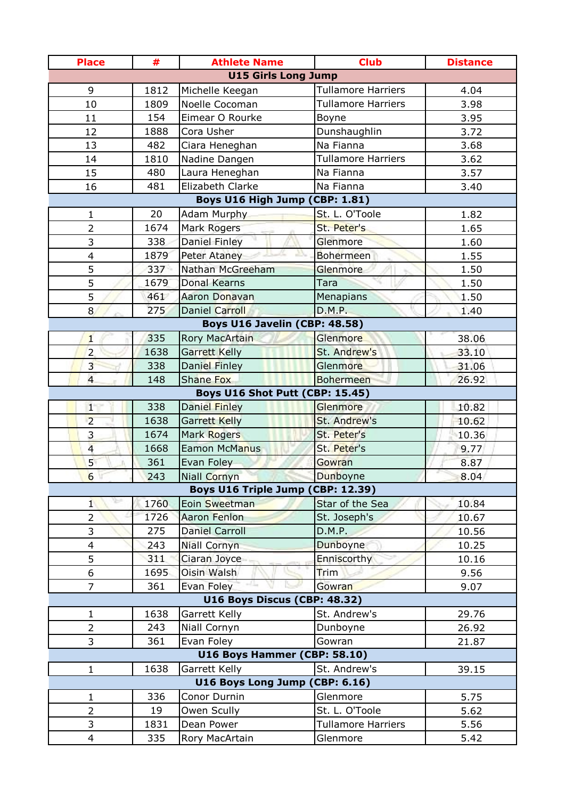| <b>Place</b>            | #    | <b>Athlete Name</b>               | <b>Club</b>               | <b>Distance</b> |
|-------------------------|------|-----------------------------------|---------------------------|-----------------|
|                         |      | <b>U15 Girls Long Jump</b>        |                           |                 |
| 9                       | 1812 | Michelle Keegan                   | <b>Tullamore Harriers</b> | 4.04            |
| 10                      | 1809 | Noelle Cocoman                    | <b>Tullamore Harriers</b> | 3.98            |
| 11                      | 154  | Eimear O Rourke                   | Boyne                     | 3.95            |
| 12                      | 1888 | Cora Usher                        | Dunshaughlin              | 3.72            |
| 13                      | 482  | Ciara Heneghan                    | Na Fianna                 | 3.68            |
| 14                      | 1810 | Nadine Dangen                     | <b>Tullamore Harriers</b> | 3.62            |
| 15                      | 480  | Laura Heneghan                    | Na Fianna                 | 3.57            |
| 16                      | 481  | Elizabeth Clarke                  | Na Fianna                 | 3.40            |
|                         |      | Boys U16 High Jump (CBP: 1.81)    |                           |                 |
| $\mathbf{1}$            | 20   | Adam Murphy                       | St. L. O'Toole            | 1.82            |
| $\overline{2}$          | 1674 | Mark Rogers                       | St. Peter's               | 1.65            |
| 3                       | 338  | <b>Daniel Finley</b>              | Glenmore                  | 1.60            |
| $\overline{\mathbf{4}}$ | 1879 | <b>Peter Ataney</b>               | <b>Bohermeen</b>          | 1.55            |
| 5                       | 337  | Nathan McGreeham                  | Glenmore                  | 1.50            |
| 5                       | 1679 | <b>Donal Kearns</b>               | Tara                      | 1.50            |
| 5                       | 461  | Aaron Donavan                     | Menapians                 | 1.50            |
| 8                       | 275  | <b>Daniel Carroll</b>             | <b>D.M.P.</b>             | 1.40            |
|                         |      | Boys U16 Javelin (CBP: 48.58)     |                           |                 |
| $\mathbf{1}$            | 335  | Rory MacArtain                    | Glenmore                  | 38.06           |
| $\overline{2}$          | 1638 | Garrett Kelly                     | St. Andrew's              | 33.10           |
| $\overline{3}$          | 338  | Daniel Finley                     | Glenmore                  | 31.06           |
| $\overline{4}$          | 148  | <b>Shane Fox</b>                  | <b>Bohermeen</b>          | 26.92           |
|                         |      | Boys U16 Shot Putt (CBP: 15.45)   |                           |                 |
| 1                       | 338  | Daniel Finley                     | Glenmore                  | 10.82           |
| $\overline{2}$          | 1638 | Garrett Kelly                     | St. Andrew's              | 10.62           |
| 3                       | 1674 | Mark Rogers                       | St. Peter's               | 10.36           |
| $\overline{4}$          | 1668 | <b>Eamon McManus</b>              | St. Peter's               | 9.77            |
| 5 <sup>1</sup>          | 361  | Evan Foley                        | Gowran                    | 8.87            |
| $6\overline{6}$         | 243  | Niall Cornyn                      | Dunboyne                  | 8.04            |
|                         |      | Boys U16 Triple Jump (CBP: 12.39) |                           |                 |
| $\mathbf{1}$            | 1760 | Eoin Sweetman                     | Star of the Sea           | 10.84           |
| 2                       | 1726 | Aaron Fenlon                      | St. Joseph's              | 10.67           |
| 3                       | 275  | <b>Daniel Carroll</b>             | D.M.P.                    | 10.56           |
| $\overline{\mathbf{4}}$ | 243  | <b>Niall Cornyn</b>               | Dunboyne                  | 10.25           |
| 5                       | 311  | Ciaran Joyce                      | Enniscorthy               | 10.16           |
| 6                       | 1695 | Oisin Walsh                       | Trim                      | 9.56            |
| $\overline{7}$          | 361  | Evan Foley                        | Gowran                    | 9.07            |
|                         |      | U16 Boys Discus (CBP: 48.32)      |                           |                 |
| $\mathbf{1}$            | 1638 | Garrett Kelly                     | St. Andrew's              | 29.76           |
| $\overline{2}$          | 243  | Niall Cornyn                      | Dunboyne                  | 26.92           |
| 3                       | 361  | Evan Foley                        | Gowran                    | 21.87           |
|                         |      | U16 Boys Hammer (CBP: 58.10)      |                           |                 |
| $\mathbf{1}$            | 1638 | Garrett Kelly                     | St. Andrew's              | 39.15           |
|                         |      | U16 Boys Long Jump (CBP: 6.16)    |                           |                 |
| $\mathbf{1}$            | 336  | Conor Durnin                      | Glenmore                  | 5.75            |
| $\overline{2}$          | 19   | Owen Scully                       | St. L. O'Toole            | 5.62            |
| 3                       | 1831 | Dean Power                        | <b>Tullamore Harriers</b> | 5.56            |
| 4                       | 335  | Rory MacArtain                    | Glenmore                  | 5.42            |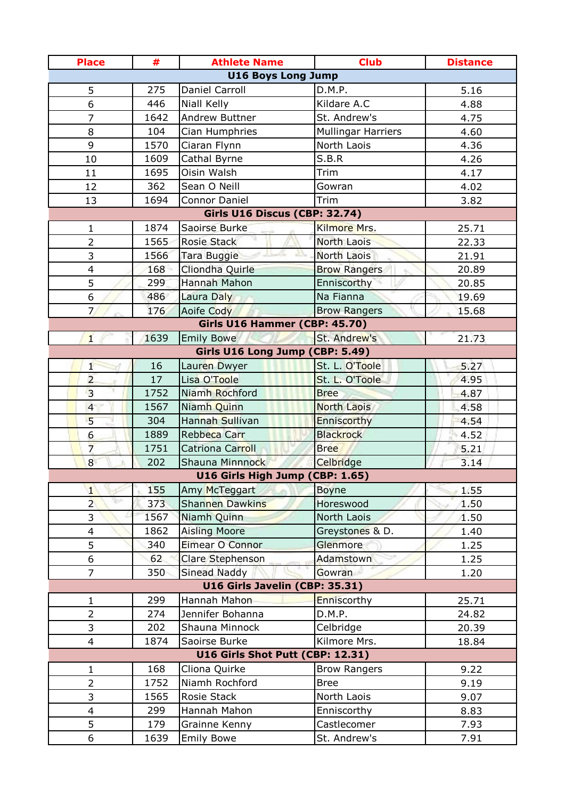| <b>Place</b>   | #    | <b>Athlete Name</b>                                | <b>Club</b>               | <b>Distance</b> |
|----------------|------|----------------------------------------------------|---------------------------|-----------------|
|                |      | <b>U16 Boys Long Jump</b>                          |                           |                 |
| 5              | 275  | Daniel Carroll                                     | D.M.P.                    | 5.16            |
| 6              | 446  | Niall Kelly                                        | Kildare A.C               | 4.88            |
| $\overline{7}$ | 1642 | <b>Andrew Buttner</b>                              | St. Andrew's              | 4.75            |
| 8              | 104  | Cian Humphries                                     | <b>Mullingar Harriers</b> | 4.60            |
| 9              | 1570 | Ciaran Flynn                                       | North Laois               | 4.36            |
| 10             | 1609 | Cathal Byrne                                       | S.B.R                     | 4.26            |
| 11             | 1695 | Oisin Walsh                                        | Trim                      | 4.17            |
| 12             | 362  | Sean O Neill                                       | Gowran                    | 4.02            |
| 13             | 1694 | <b>Connor Daniel</b>                               | Trim                      | 3.82            |
|                |      | <b>Girls U16 Discus (CBP: 32.74)</b>               |                           |                 |
| $\mathbf{1}$   | 1874 | Saoirse Burke                                      | Kilmore Mrs.              | 25.71           |
| $\overline{2}$ | 1565 | <b>Rosie Stack</b>                                 | <b>North Laois</b>        | 22.33           |
| 3              | 1566 | Tara Buggie                                        | North Laois               | 21.91           |
| $\overline{4}$ | 168  | Cliondha Quirle                                    | <b>Brow Rangers</b>       | 20.89           |
| 5              | 299  | Hannah Mahon                                       | Enniscorthy               | 20.85           |
| 6              | 486  | Laura Daly                                         | Na Fianna                 | 19.69           |
| 7/             | 176  | Aoife Cody                                         | <b>Brow Rangers</b>       | 15.68           |
|                |      | Girls U16 Hammer (CBP: 45.70)                      |                           |                 |
| $\mathbf{1}$   | 1639 | <b>Emily Bowe</b>                                  | St. Andrew's              | 21.73           |
|                |      | Girls U16 Long Jump (CBP: 5.49)                    |                           |                 |
| 1              | 16   | Lauren Dwyer                                       | St. L. O'Toole            | 5.27            |
| $\overline{2}$ | 17   | Lisa O'Toole                                       | St. L. O'Toole            | 4.95            |
| $\overline{3}$ | 1752 | Niamh Rochford                                     | <b>Bree</b>               | 4.87            |
| $\overline{4}$ | 1567 | Niamh Quinn                                        | <b>North Laois</b>        | 4.58            |
| 5              | 304  | Hannah Sullivan                                    | Enniscorthy               | 4.54            |
| 6              | 1889 | Rebbeca Carr                                       | <b>Blackrock</b>          | 4.52            |
| $\overline{7}$ | 1751 | Catriona Carroll                                   | <b>Bree</b>               | 5.21            |
| 8              | 202  | Shauna Minnnock<br>U16 Girls High Jump (CBP: 1.65) | Celbridge                 | 3.14            |
| $\mathbf{1}$   | 155  | Amy McTeggart                                      | <b>Boyne</b>              | 1.55            |
| $\overline{2}$ | 373  | <b>Shannen Dawkins</b>                             | Horeswood                 | 1.50            |
| 3              | 1567 | Niamh Quinn                                        | North Laois               | 1.50            |
| $\overline{4}$ | 1862 | <b>Aisling Moore</b>                               | Greystones & D.           | 1.40            |
| 5              | 340  | Eimear O Connor                                    | Glenmore                  | 1.25            |
| 6              | 62   | Clare Stephenson                                   | Adamstown                 | 1.25            |
| $\overline{7}$ | 350  | <b>Sinead Naddy</b>                                | Gowran                    | 1.20            |
|                |      | U16 Girls Javelin (CBP: 35.31)                     |                           |                 |
| 1              | 299  | Hannah Mahon                                       | Enniscorthy               | 25.71           |
| $\overline{2}$ | 274  | Jennifer Bohanna                                   | D.M.P.                    | 24.82           |
| 3              | 202  | Shauna Minnock                                     | Celbridge                 | 20.39           |
| $\overline{4}$ | 1874 | Saoirse Burke                                      | Kilmore Mrs.              | 18.84           |
|                |      | U16 Girls Shot Putt (CBP: 12.31)                   |                           |                 |
| 1              | 168  | Cliona Quirke                                      | <b>Brow Rangers</b>       | 9.22            |
| $\overline{2}$ | 1752 | Niamh Rochford                                     | <b>Bree</b>               | 9.19            |
| 3              | 1565 | Rosie Stack                                        | North Laois               | 9.07            |
| $\overline{4}$ | 299  | Hannah Mahon                                       | Enniscorthy               | 8.83            |
| 5              | 179  | Grainne Kenny                                      | Castlecomer               | 7.93            |
| 6              | 1639 | <b>Emily Bowe</b>                                  | St. Andrew's              | 7.91            |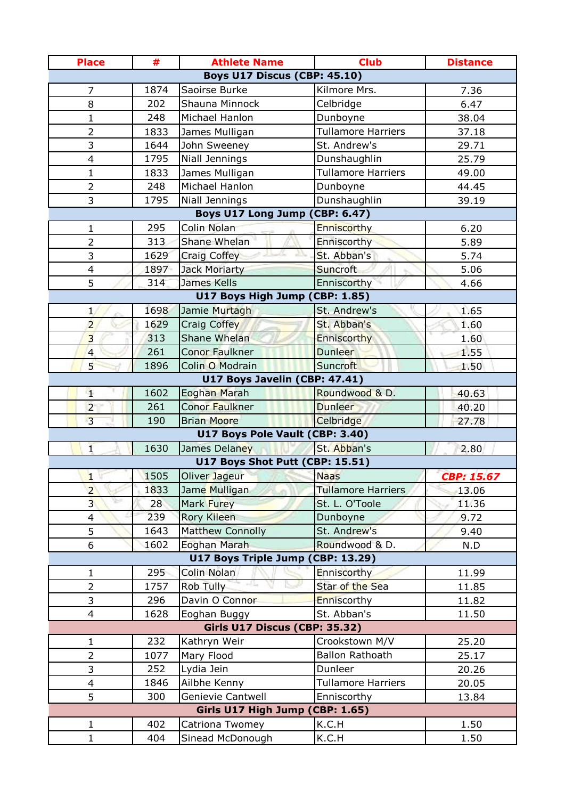| <b>Place</b>                        | #    | <b>Athlete Name</b>               | <b>Club</b>               | <b>Distance</b>   |
|-------------------------------------|------|-----------------------------------|---------------------------|-------------------|
| <b>Boys U17 Discus (CBP: 45.10)</b> |      |                                   |                           |                   |
| $\overline{7}$                      | 1874 | Saoirse Burke                     | Kilmore Mrs.              | 7.36              |
| 8                                   | 202  | Shauna Minnock                    | Celbridge                 | 6.47              |
| $\mathbf{1}$                        | 248  | Michael Hanlon                    | Dunboyne                  | 38.04             |
| 2                                   | 1833 | James Mulligan                    | <b>Tullamore Harriers</b> | 37.18             |
| 3                                   | 1644 | John Sweeney                      | St. Andrew's              | 29.71             |
| $\overline{4}$                      | 1795 | Niall Jennings                    | Dunshaughlin              | 25.79             |
| 1                                   | 1833 | James Mulligan                    | <b>Tullamore Harriers</b> | 49.00             |
| $\overline{2}$                      | 248  | Michael Hanlon                    | Dunboyne                  | 44.45             |
| 3                                   | 1795 | Niall Jennings                    | Dunshaughlin              | 39.19             |
|                                     |      | Boys U17 Long Jump (CBP: 6.47)    |                           |                   |
| $\mathbf{1}$                        | 295  | Colin Nolan                       | Enniscorthy               | 6.20              |
| $\overline{2}$                      | 313  | Shane Whelan                      | Enniscorthy               | 5.89              |
| 3                                   | 1629 | <b>Craig Coffey</b>               | St. Abban's               | 5.74              |
| $\overline{4}$                      | 1897 | Jack Moriarty                     | <b>Suncroft</b>           | 5.06              |
| 5                                   | 314  | <b>James Kells</b>                | Enniscorthy               | 4.66              |
|                                     |      | U17 Boys High Jump (              | CBP: 1.85)                |                   |
| $\mathbf{1}$                        | 1698 | Jamie Murtagh                     | St. Andrew's              | 1.65              |
| $\overline{2}$                      | 1629 | Craig Coffey                      | St. Abban's               | 1.60              |
| $\overline{3}$                      | 313  | Shane Whelan                      | Enniscorthy               | 1.60              |
| $\overline{4}$                      | 261  | Conor Faulkner                    | <b>Dunleer</b>            | 1.55              |
| 5 <sup>1</sup>                      | 1896 | Colin O Modrain                   | <b>Suncroft</b>           | 1.50              |
|                                     |      | U17 Boys Javelin (CBP: 47.41)     |                           |                   |
| 4                                   | 1602 | <b>Eoghan Marah</b>               | Roundwood & D.            | 40.63             |
| $\overline{2}$                      | 261  | Conor Faulkner                    | <b>Dunleer</b>            | 40.20             |
| $\overline{3}$                      | 190  | <b>Brian Moore</b>                | Celbridge                 | 27.78             |
|                                     |      | U17 Boys Pole Vault (CBP: 3.40)   |                           |                   |
| $\overline{1}$                      | 1630 | James Delaney                     | St. Abban's               | 2.80              |
|                                     |      | U17 Boys Shot Putt (CBP: 15.51)   |                           |                   |
| $\mathbf{1}$                        | 1505 | Oliver Jageur                     | <b>Naas</b>               | <b>CBP: 15.67</b> |
| $\overline{2}$                      | 1833 | Jame Mulligan                     | <b>Tullamore Harriers</b> | 13.06             |
| 3 <sup>1</sup>                      | 28   | Mark Furey                        | St. L. O'Toole            | 11.36             |
| 4                                   | 239  | Rory Kileen                       | Dunboyne                  | 9.72              |
| 5                                   | 1643 | <b>Matthew Connolly</b>           | St. Andrew's              | 9.40              |
| 6                                   | 1602 | Eoghan Marah                      | Roundwood & D.            | N.D               |
|                                     |      | U17 Boys Triple Jump (CBP: 13.29) |                           |                   |
| $\mathbf{1}$                        | 295  | Colin Nolan                       | Enniscorthy               | 11.99             |
| $\overline{2}$                      | 1757 | Rob Tully                         | Star of the Sea           | 11.85             |
| 3                                   | 296  | Davin O Connor                    | Enniscorthy               | 11.82             |
| $\overline{4}$                      | 1628 | Eoghan Buggy                      | St. Abban's               | 11.50             |
|                                     |      | Girls U17 Discus (CBP: 35.32)     |                           |                   |
| $\mathbf{1}$                        | 232  | Kathryn Weir                      | Crookstown M/V            | 25.20             |
| $\overline{2}$                      | 1077 | Mary Flood                        | <b>Ballon Rathoath</b>    | 25.17             |
| 3                                   | 252  | Lydia Jein                        | Dunleer                   | 20.26             |
| $\overline{\mathbf{4}}$             | 1846 | Ailbhe Kenny                      | <b>Tullamore Harriers</b> | 20.05             |
| 5                                   | 300  | Genievie Cantwell                 | Enniscorthy               | 13.84             |
|                                     |      | Girls U17 High Jump (CBP: 1.65)   |                           |                   |
| $\mathbf{1}$                        | 402  | Catriona Twomey                   | K.C.H                     | 1.50              |
| $\mathbf{1}$                        | 404  | Sinead McDonough                  | K.C.H                     | 1.50              |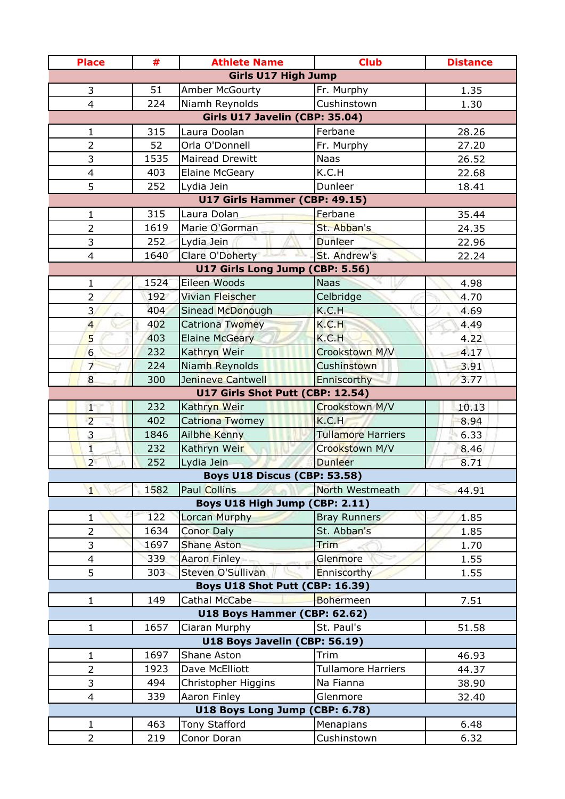| <b>Place</b>                     | #    | <b>Athlete Name</b>                                         | <b>Club</b>               | <b>Distance</b> |  |
|----------------------------------|------|-------------------------------------------------------------|---------------------------|-----------------|--|
|                                  |      | <b>Girls U17 High Jump</b>                                  |                           |                 |  |
| 3                                | 51   | Amber McGourty                                              | Fr. Murphy                | 1.35            |  |
| 4                                | 224  | Niamh Reynolds                                              | Cushinstown               | 1.30            |  |
| Girls U17 Javelin (CBP: 35.04)   |      |                                                             |                           |                 |  |
| $\mathbf 1$                      | 315  | Laura Doolan                                                | Ferbane                   | 28.26           |  |
| $\overline{2}$                   | 52   | Orla O'Donnell                                              | Fr. Murphy                | 27.20           |  |
| 3                                | 1535 | Mairead Drewitt                                             | <b>Naas</b>               | 26.52           |  |
| $\overline{\mathbf{4}}$          | 403  | <b>Elaine McGeary</b>                                       | K.C.H                     | 22.68           |  |
| 5                                | 252  | Lydia Jein                                                  | Dunleer                   | 18.41           |  |
|                                  |      | U17 Girls Hammer (CBP: 49.15)                               |                           |                 |  |
| 1                                | 315  | Laura Dolan                                                 | Ferbane                   | 35.44           |  |
| $\overline{2}$                   | 1619 | Marie O'Gorman                                              | St. Abban's               | 24.35           |  |
| 3                                | 252  | Lydia Jein                                                  | <b>Dunleer</b>            | 22.96           |  |
| $\overline{4}$                   | 1640 | Clare O'Doherty                                             | St. Andrew's              | 22.24           |  |
|                                  |      | U17 Girls Long Jump (CBP: 5.56)                             |                           |                 |  |
| $\mathbf{1}$                     | 1524 | Eileen Woods                                                | <b>Naas</b>               | 4.98            |  |
| $\overline{2}$                   | 192  | Vivian Fleischer                                            | Celbridge                 | 4.70            |  |
| 3                                | 404  | Sinead McDonough                                            | K.C.H                     | 4.69            |  |
| $\overline{4}$                   | 402  | Catriona Twomey                                             | K.C.H                     | 4.49            |  |
| 5                                | 403  | <b>Elaine McGeary</b>                                       | K.C.H                     | 4.22            |  |
| 6                                | 232  | Kathryn Weir                                                | Crookstown M/V            | 4.17            |  |
| $\overline{7}$                   | 224  | Niamh Reynolds                                              | <b>Cushinstown</b>        | 3.91            |  |
| 8                                | 300  | Jenineve Cantwell                                           | Enniscorthy               | 3.77            |  |
| U17 Girls Shot Putt (CBP: 12.54) |      |                                                             |                           |                 |  |
| $1^{\circ}$                      | 232  | Kathryn Weir                                                | Crookstown M/V            | 10.13           |  |
| $\overline{2}$                   | 402  | Catriona Twomey                                             | K.C.H                     | 8.94            |  |
| 3                                | 1846 | Ailbhe Kenny                                                | <b>Tullamore Harriers</b> | 6.33            |  |
| $\mathbf{1}$                     | 232  | Kathryn Weir                                                | Crookstown M/V            | 8.46            |  |
| $\overline{2}$                   | 252  | Lydia Jein                                                  | <b>Dunleer</b>            | 8.71            |  |
|                                  |      | <b>Boys U18 Discus (CBP: 53.58)</b>                         |                           |                 |  |
| $\mathbf{1}$                     | 1582 | Paul Collins                                                | North Westmeath           | 44.91           |  |
|                                  |      | Boys U18 High Jump (CBP: 2.11)                              |                           |                 |  |
| 1                                | 122  | Lorcan Murphy                                               | <b>Bray Runners</b>       | 1.85            |  |
| $\overline{2}$                   | 1634 | <b>Conor Daly</b>                                           | St. Abban's               | 1.85            |  |
| 3                                | 1697 | <b>Shane Aston</b>                                          | <b>Trim</b>               | 1.70            |  |
| 4                                | 339  | Aaron Finley                                                | Glenmore                  | 1.55            |  |
| 5                                | 303  | Steven O'Sullivan<br><b>Boys U18 Shot Putt (CBP: 16.39)</b> | Enniscorthy               | 1.55            |  |
| $\mathbf{1}$                     | 149  | Cathal McCabe                                               | <b>Bohermeen</b>          |                 |  |
|                                  |      | U18 Boys Hammer (CBP: 62.62)                                |                           | 7.51            |  |
| $\mathbf{1}$                     | 1657 | Ciaran Murphy                                               | St. Paul's                | 51.58           |  |
|                                  |      | U18 Boys Javelin (CBP: 56.19)                               |                           |                 |  |
| $\mathbf{1}$                     | 1697 | Shane Aston                                                 | Trim                      | 46.93           |  |
| $\overline{2}$                   | 1923 | Dave McElliott                                              | <b>Tullamore Harriers</b> | 44.37           |  |
| 3                                | 494  | Christopher Higgins                                         | Na Fianna                 | 38.90           |  |
| 4                                | 339  | Aaron Finley                                                | Glenmore                  | 32.40           |  |
|                                  |      | <b>U18 Boys Long Jump (</b>                                 | CBP: 6.78)                |                 |  |
| $\mathbf{1}$                     | 463  | <b>Tony Stafford</b>                                        | Menapians                 | 6.48            |  |
| $\overline{2}$                   | 219  | Conor Doran                                                 | Cushinstown               | 6.32            |  |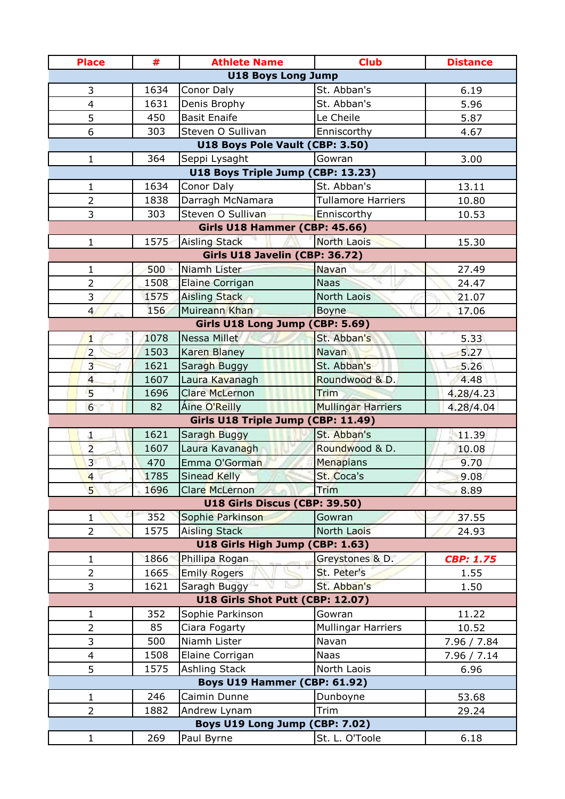| <b>Place</b>                              | #    | <b>Athlete Name</b>              | <b>Club</b>               | <b>Distance</b>  |  |  |
|-------------------------------------------|------|----------------------------------|---------------------------|------------------|--|--|
| <b>U18 Boys Long Jump</b>                 |      |                                  |                           |                  |  |  |
| 3                                         | 1634 | Conor Daly                       | St. Abban's               | 6.19             |  |  |
| $\overline{4}$                            | 1631 | Denis Brophy                     | St. Abban's               | 5.96             |  |  |
| 5                                         | 450  | <b>Basit Enaife</b>              | Le Cheile                 | 5.87             |  |  |
| 6                                         | 303  | Steven O Sullivan                | Enniscorthy               | 4.67             |  |  |
| U18 Boys Pole Vault (CBP: 3.50)           |      |                                  |                           |                  |  |  |
| 1                                         | 364  | Seppi Lysaght                    | Gowran                    | 3.00             |  |  |
| U18 Boys Triple Jump (CBP: 13.23)         |      |                                  |                           |                  |  |  |
| 1                                         | 1634 | Conor Daly                       | St. Abban's               | 13.11            |  |  |
| $\overline{2}$                            | 1838 | Darragh McNamara                 | <b>Tullamore Harriers</b> | 10.80            |  |  |
| 3                                         | 303  | Steven O Sullivan                | Enniscorthy               | 10.53            |  |  |
| Girls U18 Hammer (CBP: 45.66)             |      |                                  |                           |                  |  |  |
| $\mathbf{1}$                              | 1575 | <b>Aisling Stack</b>             | <b>North Laois</b>        | 15.30            |  |  |
| Girls U18 Javelin (CBP: 36.72)            |      |                                  |                           |                  |  |  |
| 1                                         | 500  | Niamh Lister                     | Navan                     | 27.49            |  |  |
| $\overline{2}$                            | 1508 | <b>Elaine Corrigan</b>           | <b>Naas</b>               | 24.47            |  |  |
| 3                                         | 1575 | <b>Aisling Stack</b>             | North Laois               | 21.07            |  |  |
| 4 <sub>1</sub>                            | 156  | Muireann Khan                    | <b>Boyne</b>              | 17.06            |  |  |
| Girls U18 Long Jump (CBP: 5.69)           |      |                                  |                           |                  |  |  |
| $\mathbf{1}$                              | 1078 | Nessa Millet                     | St. Abban's               | 5.33             |  |  |
| $\overline{2}$                            | 1503 | Karen Blaney                     | <b>Navan</b>              | 5.27             |  |  |
| $\overline{3}$                            | 1621 | Saragh Buggy                     | St. Abban's               | 5.26             |  |  |
| $\overline{4}$                            | 1607 | Laura Kavanagh                   | Roundwood & D.            | 4.48             |  |  |
| 5                                         | 1696 | Clare McLernon                   | Trim                      | 4.28/4.23        |  |  |
| 6                                         | 82   | Aine O'Reilly                    | <b>Mullingar Harriers</b> | 4.28/4.04        |  |  |
| Girls U18 Triple Jump (CBP: 11.49)        |      |                                  |                           |                  |  |  |
| $\mathbf{1}$                              | 1621 | Saragh Buggy                     | St. Abban's               | 11.39            |  |  |
| $\overline{2}$                            | 1607 | Laura Kavanagh                   | Roundwood & D.            | 10.08            |  |  |
| 3 <sup>1</sup>                            | 470  | Emma O'Gorman                    | Menapians                 | 9.70             |  |  |
| $\overline{4}$                            | 1785 | <b>Sinead Kelly</b>              | St. Coca's                | 9.08             |  |  |
| 5 <sup>1</sup>                            | 1696 | Clare McLernon                   | Trim                      | 8.89             |  |  |
| U18 Girls Discus (CBP: 39.50)             |      |                                  |                           |                  |  |  |
| $\mathbf{1}$                              | 352  | Sophie Parkinson                 | Gowran                    | 37.55            |  |  |
| $\overline{2}$                            | 1575 | <b>Aisling Stack</b>             | North Laois               | 24.93            |  |  |
| U18 Girls High Jump (CBP: 1.63)           |      |                                  |                           |                  |  |  |
| 1                                         | 1866 | Phillipa Rogan                   | Greystones & D.           | <b>CBP: 1.75</b> |  |  |
| $\overline{2}$                            | 1665 | <b>Emily Rogers</b>              | St. Peter's               | 1.55             |  |  |
| 3                                         | 1621 | Saragh Buggy                     | St. Abban's               | 1.50             |  |  |
|                                           |      | U18 Girls Shot Putt (CBP: 12.07) |                           |                  |  |  |
| 1                                         | 352  | Sophie Parkinson                 | Gowran                    | 11.22            |  |  |
| $\overline{2}$                            | 85   | Ciara Fogarty                    | <b>Mullingar Harriers</b> | 10.52            |  |  |
| 3                                         | 500  | Niamh Lister                     | Navan                     | 7.96 / 7.84      |  |  |
| $\overline{\mathbf{4}}$                   | 1508 | Elaine Corrigan                  | <b>Naas</b>               | 7.96 / 7.14      |  |  |
| 5                                         | 1575 | <b>Ashling Stack</b>             | North Laois               | 6.96             |  |  |
| Boys U19 Hammer (CBP: 61.92)              |      |                                  |                           |                  |  |  |
| 1                                         | 246  | Caimin Dunne                     | Dunboyne                  | 53.68            |  |  |
| $\overline{2}$                            | 1882 | Andrew Lynam                     | Trim                      | 29.24            |  |  |
| <b>Boys U19 Long Jump (</b><br>CBP: 7.02) |      |                                  |                           |                  |  |  |
| 1                                         | 269  | Paul Byrne                       | St. L. O'Toole            | 6.18             |  |  |